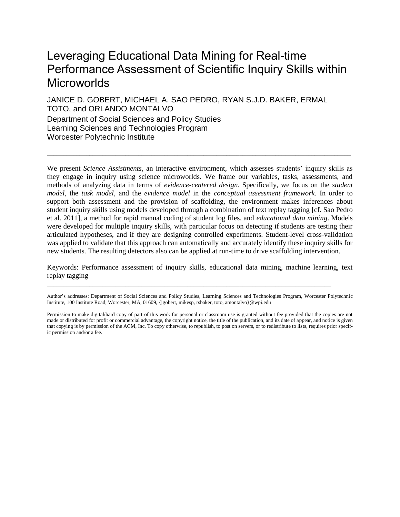# Leveraging Educational Data Mining for Real-time Performance Assessment of Scientific Inquiry Skills within **Microworlds**

JANICE D. GOBERT, MICHAEL A. SAO PEDRO, RYAN S.J.D. BAKER, ERMAL TOTO, and ORLANDO MONTALVO Department of Social Sciences and Policy Studies Learning Sciences and Technologies Program Worcester Polytechnic Institute

We present *Science Assistments*, an interactive environment, which assesses students' inquiry skills as they engage in inquiry using science microworlds. We frame our variables, tasks, assessments, and methods of analyzing data in terms of *evidence-centered design*. Specifically, we focus on the *student model*, the *task model*, and the *evidence model* in the *conceptual assessment framework*. In order to support both assessment and the provision of scaffolding, the environment makes inferences about student inquiry skills using models developed through a combination of text replay tagging [cf. Sao Pedro et al. 2011], a method for rapid manual coding of student log files, and *educational data mining*. Models were developed for multiple inquiry skills, with particular focus on detecting if students are testing their articulated hypotheses, and if they are designing controlled experiments. Student-level cross-validation was applied to validate that this approach can automatically and accurately identify these inquiry skills for new students. The resulting detectors also can be applied at run-time to drive scaffolding intervention.

\_\_\_\_\_\_\_\_\_\_\_\_\_\_\_\_\_\_\_\_\_\_\_\_\_\_\_\_\_\_\_\_\_\_\_\_\_\_\_\_\_\_\_\_\_\_\_\_\_\_\_\_\_\_\_\_\_\_\_\_\_\_\_\_\_\_\_\_\_\_\_\_\_\_\_\_\_\_\_\_\_\_\_\_\_\_\_\_\_\_\_\_\_

Keywords: Performance assessment of inquiry skills, educational data mining, machine learning, text replay tagging

\_\_\_\_\_\_\_\_\_\_\_\_\_\_\_\_\_\_\_\_\_\_\_\_\_\_\_\_\_\_\_\_\_\_\_\_\_\_\_\_\_\_\_\_\_\_\_\_\_\_\_\_\_\_\_\_\_\_\_\_\_\_\_\_\_\_\_\_\_\_\_\_\_\_\_\_\_\_\_\_\_\_\_\_\_\_\_

Author's addresses: Department of Social Sciences and Policy Studies, Learning Sciences and Technologies Program, Worcester Polytechnic Institute, 100 Institute Road, Worcester, MA, 01609, {jgobert, mikesp, rsbaker, toto, amontalvo}@wpi.edu

Permission to make digital/hard copy of part of this work for personal or classroom use is granted without fee provided that the copies are not made or distributed for profit or commercial advantage, the copyright notice, the title of the publication, and its date of appear, and notice is given that copying is by permission of the ACM, Inc. To copy otherwise, to republish, to post on servers, or to redistribute to lists, requires prior specific permission and/or a fee.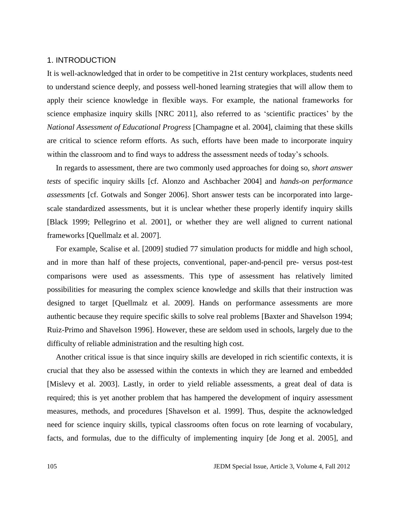# 1. INTRODUCTION

It is well-acknowledged that in order to be competitive in 21st century workplaces, students need to understand science deeply, and possess well-honed learning strategies that will allow them to apply their science knowledge in flexible ways. For example, the national frameworks for science emphasize inquiry skills [NRC 2011], also referred to as 'scientific practices' by the *National Assessment of Educational Progress* [Champagne et al. 2004], claiming that these skills are critical to science reform efforts. As such, efforts have been made to incorporate inquiry within the classroom and to find ways to address the assessment needs of today's schools.

In regards to assessment, there are two commonly used approaches for doing so, *short answer tests* of specific inquiry skills [cf. Alonzo and Aschbacher 2004] and *hands-on performance assessments* [cf. Gotwals and Songer 2006]. Short answer tests can be incorporated into largescale standardized assessments, but it is unclear whether these properly identify inquiry skills [Black 1999; Pellegrino et al. 2001], or whether they are well aligned to current national frameworks [Quellmalz et al. 2007].

For example, Scalise et al. [2009] studied 77 simulation products for middle and high school, and in more than half of these projects, conventional, paper-and-pencil pre- versus post-test comparisons were used as assessments. This type of assessment has relatively limited possibilities for measuring the complex science knowledge and skills that their instruction was designed to target [Quellmalz et al. 2009]. Hands on performance assessments are more authentic because they require specific skills to solve real problems [Baxter and Shavelson 1994; Ruiz-Primo and Shavelson 1996]. However, these are seldom used in schools, largely due to the difficulty of reliable administration and the resulting high cost.

Another critical issue is that since inquiry skills are developed in rich scientific contexts, it is crucial that they also be assessed within the contexts in which they are learned and embedded [Mislevy et al. 2003]. Lastly, in order to yield reliable assessments, a great deal of data is required; this is yet another problem that has hampered the development of inquiry assessment measures, methods, and procedures [Shavelson et al. 1999]. Thus, despite the acknowledged need for science inquiry skills, typical classrooms often focus on rote learning of vocabulary, facts, and formulas, due to the difficulty of implementing inquiry [de Jong et al. 2005], and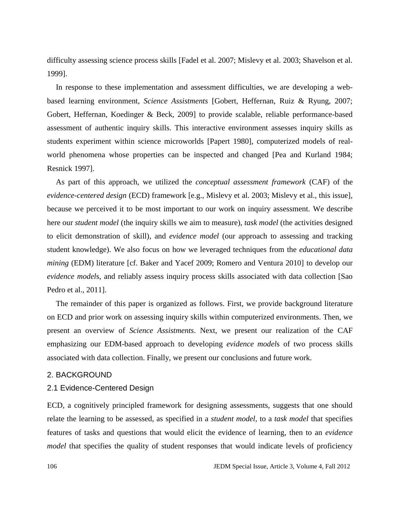difficulty assessing science process skills [Fadel et al. 2007; Mislevy et al. 2003; Shavelson et al. 1999].

In response to these implementation and assessment difficulties, we are developing a webbased learning environment, *Science Assistments* [Gobert, Heffernan, Ruiz & Ryung, 2007; Gobert, Heffernan, Koedinger & Beck, 2009] to provide scalable, reliable performance-based assessment of authentic inquiry skills. This interactive environment assesses inquiry skills as students experiment within science microworlds [Papert 1980], computerized models of realworld phenomena whose properties can be inspected and changed [Pea and Kurland 1984; Resnick 1997].

As part of this approach, we utilized the *conceptual assessment framework* (CAF) of the *evidence-centered design* (ECD) framework [e.g., Mislevy et al. 2003; Mislevy et al., this issue], because we perceived it to be most important to our work on inquiry assessment. We describe here our *student model* (the inquiry skills we aim to measure), *task model* (the activities designed to elicit demonstration of skill), and *evidence model* (our approach to assessing and tracking student knowledge). We also focus on how we leveraged techniques from the *educational data mining* (EDM) literature [cf. Baker and Yacef 2009; Romero and Ventura 2010] to develop our *evidence model*s, and reliably assess inquiry process skills associated with data collection [Sao Pedro et al., 2011].

The remainder of this paper is organized as follows. First, we provide background literature on ECD and prior work on assessing inquiry skills within computerized environments. Then, we present an overview of *Science Assistments*. Next, we present our realization of the CAF emphasizing our EDM-based approach to developing *evidence model*s of two process skills associated with data collection. Finally, we present our conclusions and future work.

## 2. BACKGROUND

# 2.1 Evidence-Centered Design

ECD, a cognitively principled framework for designing assessments, suggests that one should relate the learning to be assessed, as specified in a *student model*, to a *task model* that specifies features of tasks and questions that would elicit the evidence of learning, then to an *evidence model* that specifies the quality of student responses that would indicate levels of proficiency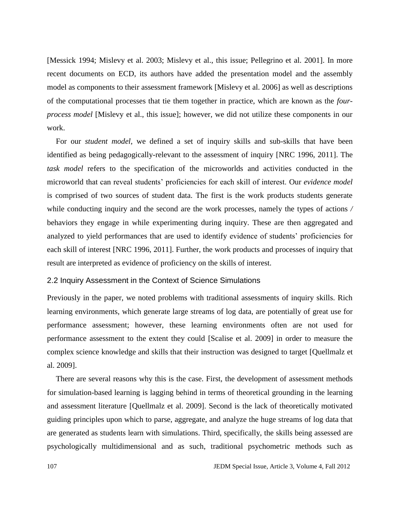[Messick 1994; Mislevy et al. 2003; Mislevy et al., this issue; Pellegrino et al. 2001]. In more recent documents on ECD, its authors have added the presentation model and the assembly model as components to their assessment framework [Mislevy et al. 2006] as well as descriptions of the computational processes that tie them together in practice, which are known as the *fourprocess model* [Mislevy et al., this issue]; however, we did not utilize these components in our work.

For our *student model*, we defined a set of inquiry skills and sub-skills that have been identified as being pedagogically-relevant to the assessment of inquiry [NRC 1996, 2011]. The *task model* refers to the specification of the microworlds and activities conducted in the microworld that can reveal students' proficiencies for each skill of interest. Our *evidence model* is comprised of two sources of student data. The first is the work products students generate while conducting inquiry and the second are the work processes, namely the types of actions */* behaviors they engage in while experimenting during inquiry. These are then aggregated and analyzed to yield performances that are used to identify evidence of students' proficiencies for each skill of interest [NRC 1996, 2011]. Further, the work products and processes of inquiry that result are interpreted as evidence of proficiency on the skills of interest.

# 2.2 Inquiry Assessment in the Context of Science Simulations

Previously in the paper, we noted problems with traditional assessments of inquiry skills. Rich learning environments, which generate large streams of log data, are potentially of great use for performance assessment; however, these learning environments often are not used for performance assessment to the extent they could [Scalise et al. 2009] in order to measure the complex science knowledge and skills that their instruction was designed to target [Quellmalz et al. 2009].

There are several reasons why this is the case. First, the development of assessment methods for simulation-based learning is lagging behind in terms of theoretical grounding in the learning and assessment literature [Quellmalz et al. 2009]. Second is the lack of theoretically motivated guiding principles upon which to parse, aggregate, and analyze the huge streams of log data that are generated as students learn with simulations. Third, specifically, the skills being assessed are psychologically multidimensional and as such, traditional psychometric methods such as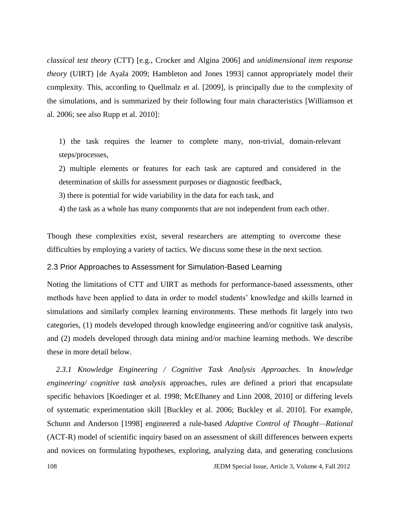*classical test theory* (CTT) [e.g., Crocker and Algina 2006] and *unidimensional item response theory* (UIRT) [de Ayala 2009; Hambleton and Jones 1993] cannot appropriately model their complexity. This, according to Quellmalz et al. [2009], is principally due to the complexity of the simulations, and is summarized by their following four main characteristics [Williamson et al. 2006; see also Rupp et al. 2010]:

1) the task requires the learner to complete many, non-trivial, domain-relevant steps/processes,

2) multiple elements or features for each task are captured and considered in the determination of skills for assessment purposes or diagnostic feedback,

3) there is potential for wide variability in the data for each task, and

4) the task as a whole has many components that are not independent from each other.

Though these complexities exist, several researchers are attempting to overcome these difficulties by employing a variety of tactics. We discuss some these in the next section.

# 2.3 Prior Approaches to Assessment for Simulation-Based Learning

Noting the limitations of CTT and UIRT as methods for performance-based assessments, other methods have been applied to data in order to model students' knowledge and skills learned in simulations and similarly complex learning environments. These methods fit largely into two categories, (1) models developed through knowledge engineering and/or cognitive task analysis, and (2) models developed through data mining and/or machine learning methods. We describe these in more detail below.

*2.3.1 Knowledge Engineering / Cognitive Task Analysis Approaches.* In *knowledge engineering/ cognitive task analysis* approaches, rules are defined a priori that encapsulate specific behaviors [Koedinger et al. 1998; McElhaney and Linn 2008, 2010] or differing levels of systematic experimentation skill [Buckley et al. 2006; Buckley et al. 2010]. For example, Schunn and Anderson [1998] engineered a rule-based *Adaptive Control of Thought—Rational* (ACT-R) model of scientific inquiry based on an assessment of skill differences between experts and novices on formulating hypotheses, exploring, analyzing data, and generating conclusions

108 JEDM Special Issue, Article 3, Volume 4, Fall 2012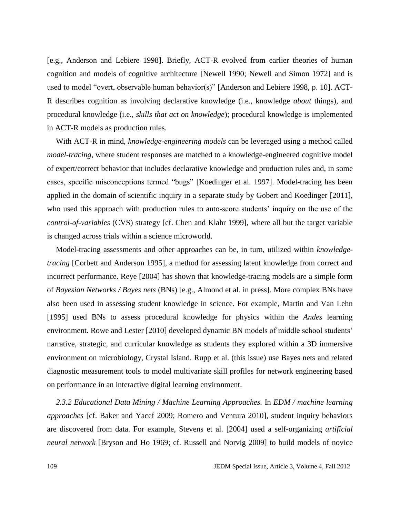[e.g., Anderson and Lebiere 1998]. Briefly, ACT-R evolved from earlier theories of human cognition and models of cognitive architecture [Newell 1990; Newell and Simon 1972] and is used to model "overt, observable human behavior(s)" [Anderson and Lebiere 1998, p. 10]. ACT-R describes cognition as involving declarative knowledge (i.e., knowledge *about* things), and procedural knowledge (i.e., *skills that act on knowledge*); procedural knowledge is implemented in ACT-R models as production rules.

With ACT-R in mind, *knowledge-engineering models* can be leveraged using a method called *model-tracing*, where student responses are matched to a knowledge-engineered cognitive model of expert/correct behavior that includes declarative knowledge and production rules and, in some cases, specific misconceptions termed "bugs" [Koedinger et al. 1997]. Model-tracing has been applied in the domain of scientific inquiry in a separate study by Gobert and Koedinger [2011], who used this approach with production rules to auto-score students' inquiry on the use of the *control-of-variables* (CVS) strategy [cf. Chen and Klahr 1999], where all but the target variable is changed across trials within a science microworld.

Model-tracing assessments and other approaches can be, in turn, utilized within *knowledgetracing* [Corbett and Anderson 1995], a method for assessing latent knowledge from correct and incorrect performance. Reye [2004] has shown that knowledge-tracing models are a simple form of *Bayesian Networks / Bayes nets* (BNs) [e.g., Almond et al. in press]. More complex BNs have also been used in assessing student knowledge in science. For example, Martin and Van Lehn [1995] used BNs to assess procedural knowledge for physics within the *Andes* learning environment. Rowe and Lester [2010] developed dynamic BN models of middle school students' narrative, strategic, and curricular knowledge as students they explored within a 3D immersive environment on microbiology, Crystal Island. Rupp et al. (this issue) use Bayes nets and related diagnostic measurement tools to model multivariate skill profiles for network engineering based on performance in an interactive digital learning environment.

*2.3.2 Educational Data Mining / Machine Learning Approaches.* In *EDM / machine learning approaches* [cf. Baker and Yacef 2009; Romero and Ventura 2010], student inquiry behaviors are discovered from data. For example, Stevens et al. [2004] used a self-organizing *artificial neural network* [Bryson and Ho 1969; cf. Russell and Norvig 2009] to build models of novice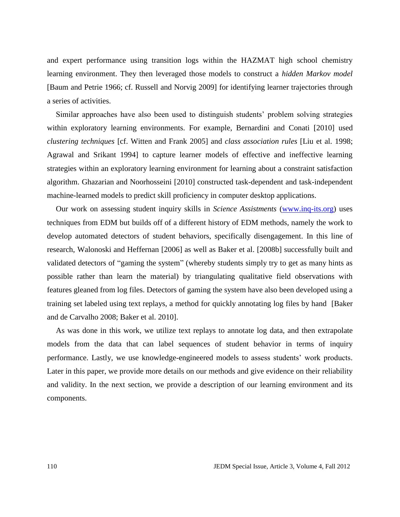and expert performance using transition logs within the HAZMAT high school chemistry learning environment. They then leveraged those models to construct a *hidden Markov model* [Baum and Petrie 1966; cf. Russell and Norvig 2009] for identifying learner trajectories through a series of activities.

Similar approaches have also been used to distinguish students' problem solving strategies within exploratory learning environments. For example, Bernardini and Conati [2010] used *clustering techniques* [cf. Witten and Frank 2005] and *class association rules* [Liu et al. 1998; Agrawal and Srikant 1994] to capture learner models of effective and ineffective learning strategies within an exploratory learning environment for learning about a constraint satisfaction algorithm. Ghazarian and Noorhosseini [2010] constructed task-dependent and task-independent machine-learned models to predict skill proficiency in computer desktop applications.

Our work on assessing student inquiry skills in *Science Assistments* [\(www.inq-its.org\)](http://www.inq-its.org/) uses techniques from EDM but builds off of a different history of EDM methods, namely the work to develop automated detectors of student behaviors, specifically disengagement. In this line of research, Walonoski and Heffernan [2006] as well as Baker et al. [2008b] successfully built and validated detectors of "gaming the system" (whereby students simply try to get as many hints as possible rather than learn the material) by triangulating qualitative field observations with features gleaned from log files. Detectors of gaming the system have also been developed using a training set labeled using text replays, a method for quickly annotating log files by hand [Baker and de Carvalho 2008; Baker et al. 2010].

As was done in this work, we utilize text replays to annotate log data, and then extrapolate models from the data that can label sequences of student behavior in terms of inquiry performance. Lastly, we use knowledge-engineered models to assess students' work products. Later in this paper, we provide more details on our methods and give evidence on their reliability and validity. In the next section, we provide a description of our learning environment and its components.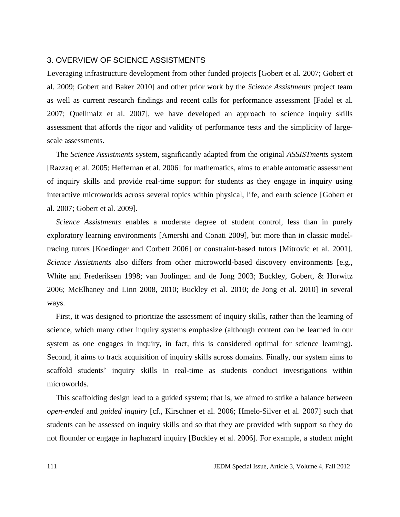# 3. OVERVIEW OF SCIENCE ASSISTMENTS

Leveraging infrastructure development from other funded projects [Gobert et al. 2007; Gobert et al. 2009; Gobert and Baker 2010] and other prior work by the *Science Assistments* project team as well as current research findings and recent calls for performance assessment [Fadel et al. 2007; Quellmalz et al. 2007], we have developed an approach to science inquiry skills assessment that affords the rigor and validity of performance tests and the simplicity of largescale assessments.

The *Science Assistments* system, significantly adapted from the original *ASSISTments* system [Razzaq et al. 2005; Heffernan et al. 2006] for mathematics, aims to enable automatic assessment of inquiry skills and provide real-time support for students as they engage in inquiry using interactive microworlds across several topics within physical, life, and earth science [Gobert et al. 2007; Gobert et al. 2009].

*Science Assistments* enables a moderate degree of student control, less than in purely exploratory learning environments [Amershi and Conati 2009], but more than in classic modeltracing tutors [Koedinger and Corbett 2006] or constraint-based tutors [Mitrovic et al. 2001]. *Science Assistments* also differs from other microworld-based discovery environments [e.g., White and Frederiksen 1998; van Joolingen and de Jong 2003; Buckley, Gobert, & Horwitz 2006; McElhaney and Linn 2008, 2010; Buckley et al. 2010; de Jong et al. 2010] in several ways.

First, it was designed to prioritize the assessment of inquiry skills, rather than the learning of science, which many other inquiry systems emphasize (although content can be learned in our system as one engages in inquiry, in fact, this is considered optimal for science learning). Second, it aims to track acquisition of inquiry skills across domains. Finally, our system aims to scaffold students' inquiry skills in real-time as students conduct investigations within microworlds.

This scaffolding design lead to a guided system; that is, we aimed to strike a balance between *open-ended* and *guided inquiry* [cf., Kirschner et al. 2006; Hmelo-Silver et al. 2007] such that students can be assessed on inquiry skills and so that they are provided with support so they do not flounder or engage in haphazard inquiry [Buckley et al. 2006]. For example, a student might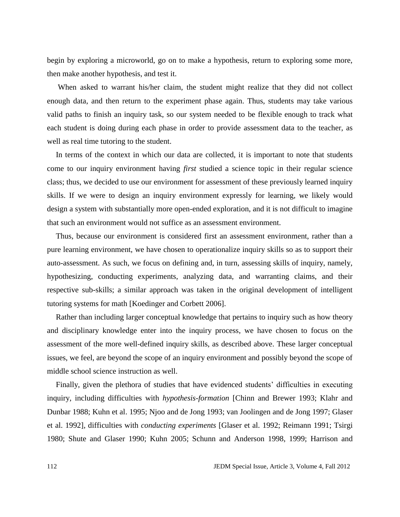begin by exploring a microworld, go on to make a hypothesis, return to exploring some more, then make another hypothesis, and test it.

When asked to warrant his/her claim, the student might realize that they did not collect enough data, and then return to the experiment phase again. Thus, students may take various valid paths to finish an inquiry task, so our system needed to be flexible enough to track what each student is doing during each phase in order to provide assessment data to the teacher, as well as real time tutoring to the student.

In terms of the context in which our data are collected, it is important to note that students come to our inquiry environment having *first* studied a science topic in their regular science class; thus, we decided to use our environment for assessment of these previously learned inquiry skills. If we were to design an inquiry environment expressly for learning, we likely would design a system with substantially more open-ended exploration, and it is not difficult to imagine that such an environment would not suffice as an assessment environment.

Thus, because our environment is considered first an assessment environment, rather than a pure learning environment, we have chosen to operationalize inquiry skills so as to support their auto-assessment. As such, we focus on defining and, in turn, assessing skills of inquiry, namely, hypothesizing, conducting experiments, analyzing data, and warranting claims, and their respective sub-skills; a similar approach was taken in the original development of intelligent tutoring systems for math [Koedinger and Corbett 2006].

Rather than including larger conceptual knowledge that pertains to inquiry such as how theory and disciplinary knowledge enter into the inquiry process, we have chosen to focus on the assessment of the more well-defined inquiry skills, as described above. These larger conceptual issues, we feel, are beyond the scope of an inquiry environment and possibly beyond the scope of middle school science instruction as well.

Finally, given the plethora of studies that have evidenced students' difficulties in executing inquiry, including difficulties with *hypothesis-formation* [Chinn and Brewer 1993; Klahr and Dunbar 1988; Kuhn et al. 1995; Njoo and de Jong 1993; van Joolingen and de Jong 1997; Glaser et al. 1992], difficulties with *conducting experiments* [Glaser et al. 1992; Reimann 1991; Tsirgi 1980; Shute and Glaser 1990; Kuhn 2005; Schunn and Anderson 1998, 1999; Harrison and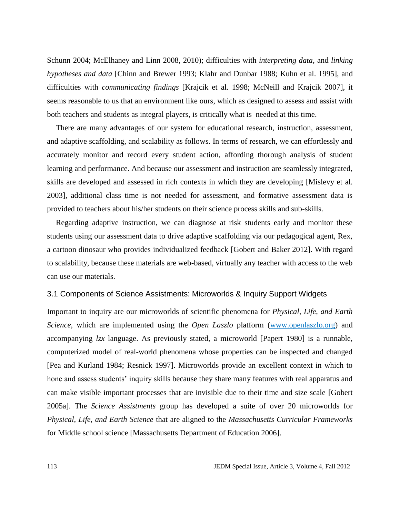Schunn 2004; McElhaney and Linn 2008, 2010); difficulties with *interpreting data*, and *linking hypotheses and data* [Chinn and Brewer 1993; Klahr and Dunbar 1988; Kuhn et al. 1995], and difficulties with *communicating findings* [Krajcik et al. 1998; McNeill and Krajcik 2007], it seems reasonable to us that an environment like ours, which as designed to assess and assist with both teachers and students as integral players, is critically what is needed at this time.

There are many advantages of our system for educational research, instruction, assessment, and adaptive scaffolding, and scalability as follows. In terms of research, we can effortlessly and accurately monitor and record every student action, affording thorough analysis of student learning and performance. And because our assessment and instruction are seamlessly integrated, skills are developed and assessed in rich contexts in which they are developing [Mislevy et al. 2003], additional class time is not needed for assessment, and formative assessment data is provided to teachers about his/her students on their science process skills and sub-skills.

Regarding adaptive instruction, we can diagnose at risk students early and monitor these students using our assessment data to drive adaptive scaffolding via our pedagogical agent, Rex, a cartoon dinosaur who provides individualized feedback [Gobert and Baker 2012]. With regard to scalability, because these materials are web-based, virtually any teacher with access to the web can use our materials.

# 3.1 Components of Science Assistments: Microworlds & Inquiry Support Widgets

Important to inquiry are our microworlds of scientific phenomena for *Physical, Life, and Earth Science*, which are implemented using the *Open Laszlo* platform [\(www.openlaszlo.org\)](http://www.openlaszlo.org/) and accompanying *lzx* language. As previously stated, a microworld [Papert 1980] is a runnable, computerized model of real-world phenomena whose properties can be inspected and changed [Pea and Kurland 1984; Resnick 1997]. Microworlds provide an excellent context in which to hone and assess students' inquiry skills because they share many features with real apparatus and can make visible important processes that are invisible due to their time and size scale [Gobert 2005a]. The *Science Assistments* group has developed a suite of over 20 microworlds for *Physical, Life, and Earth Science* that are aligned to the *Massachusetts Curricular Frameworks* for Middle school science [Massachusetts Department of Education 2006].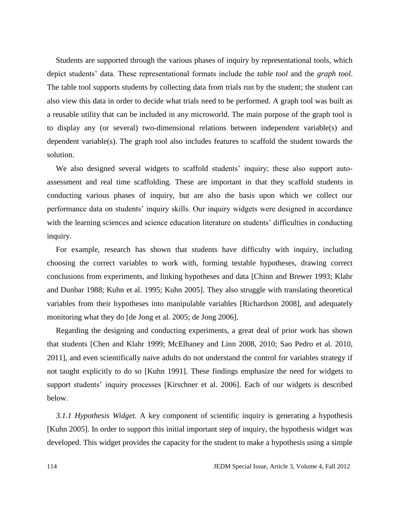Students are supported through the various phases of inquiry by representational tools, which depict students' data. These representational formats include the *table tool* and the *graph tool*. The table tool supports students by collecting data from trials run by the student; the student can also view this data in order to decide what trials need to be performed. A graph tool was built as a reusable utility that can be included in any microworld. The main purpose of the graph tool is to display any (or several) two-dimensional relations between independent variable(s) and dependent variable(s). The graph tool also includes features to scaffold the student towards the solution.

We also designed several widgets to scaffold students' inquiry; these also support autoassessment and real time scaffolding. These are important in that they scaffold students in conducting various phases of inquiry, but are also the basis upon which we collect our performance data on students' inquiry skills. Our inquiry widgets were designed in accordance with the learning sciences and science education literature on students' difficulties in conducting inquiry.

For example, research has shown that students have difficulty with inquiry, including choosing the correct variables to work with, forming testable hypotheses, drawing correct conclusions from experiments, and linking hypotheses and data [Chinn and Brewer 1993; Klahr and Dunbar 1988; Kuhn et al. 1995; Kuhn 2005]. They also struggle with translating theoretical variables from their hypotheses into manipulable variables [Richardson 2008], and adequately monitoring what they do [de Jong et al. 2005; de Jong 2006].

Regarding the designing and conducting experiments, a great deal of prior work has shown that students [Chen and Klahr 1999; McElhaney and Linn 2008, 2010; Sao Pedro et al. 2010, 2011], and even scientifically naive adults do not understand the control for variables strategy if not taught explicitly to do so [Kuhn 1991]. These findings emphasize the need for widgets to support students' inquiry processes [Kirschner et al. 2006]. Each of our widgets is described below.

*3.1.1 Hypothesis Widget.* A key component of scientific inquiry is generating a hypothesis [Kuhn 2005]. In order to support this initial important step of inquiry, the hypothesis widget was developed. This widget provides the capacity for the student to make a hypothesis using a simple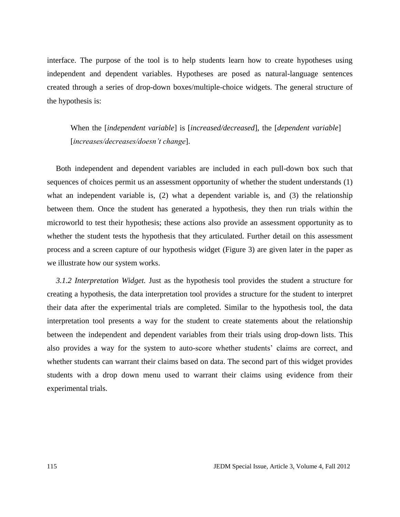interface. The purpose of the tool is to help students learn how to create hypotheses using independent and dependent variables. Hypotheses are posed as natural-language sentences created through a series of drop-down boxes/multiple-choice widgets. The general structure of the hypothesis is:

When the [*independent variable*] is [*increased/decreased*], the [*dependent variable*] [*increases/decreases/doesn't change*].

Both independent and dependent variables are included in each pull-down box such that sequences of choices permit us an assessment opportunity of whether the student understands (1) what an independent variable is, (2) what a dependent variable is, and (3) the relationship between them. Once the student has generated a hypothesis, they then run trials within the microworld to test their hypothesis; these actions also provide an assessment opportunity as to whether the student tests the hypothesis that they articulated. Further detail on this assessment process and a screen capture of our hypothesis widget (Figure 3) are given later in the paper as we illustrate how our system works.

*3.1.2 Interpretation Widget.* Just as the hypothesis tool provides the student a structure for creating a hypothesis, the data interpretation tool provides a structure for the student to interpret their data after the experimental trials are completed. Similar to the hypothesis tool, the data interpretation tool presents a way for the student to create statements about the relationship between the independent and dependent variables from their trials using drop-down lists. This also provides a way for the system to auto-score whether students' claims are correct, and whether students can warrant their claims based on data. The second part of this widget provides students with a drop down menu used to warrant their claims using evidence from their experimental trials.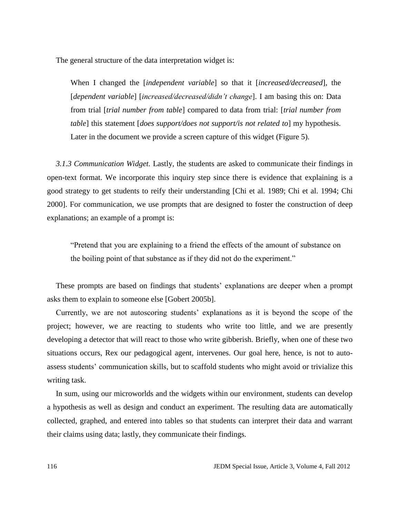The general structure of the data interpretation widget is:

When I changed the [*independent variable*] so that it [*increased/decreased*], the [*dependent variable*] [*increased/decreased/didn't change*]. I am basing this on: Data from trial [*trial number from table*] compared to data from trial: [*trial number from table*] this statement [*does support/does not support/is not related to*] my hypothesis. Later in the document we provide a screen capture of this widget (Figure 5).

*3.1.3 Communication Widget.* Lastly, the students are asked to communicate their findings in open-text format. We incorporate this inquiry step since there is evidence that explaining is a good strategy to get students to reify their understanding [Chi et al. 1989; Chi et al. 1994; Chi 2000]. For communication, we use prompts that are designed to foster the construction of deep explanations; an example of a prompt is:

"Pretend that you are explaining to a friend the effects of the amount of substance on the boiling point of that substance as if they did not do the experiment."

These prompts are based on findings that students' explanations are deeper when a prompt asks them to explain to someone else [Gobert 2005b].

Currently, we are not autoscoring students' explanations as it is beyond the scope of the project; however, we are reacting to students who write too little, and we are presently developing a detector that will react to those who write gibberish. Briefly, when one of these two situations occurs, Rex our pedagogical agent, intervenes. Our goal here, hence, is not to autoassess students' communication skills, but to scaffold students who might avoid or trivialize this writing task.

In sum, using our microworlds and the widgets within our environment, students can develop a hypothesis as well as design and conduct an experiment. The resulting data are automatically collected, graphed, and entered into tables so that students can interpret their data and warrant their claims using data; lastly, they communicate their findings.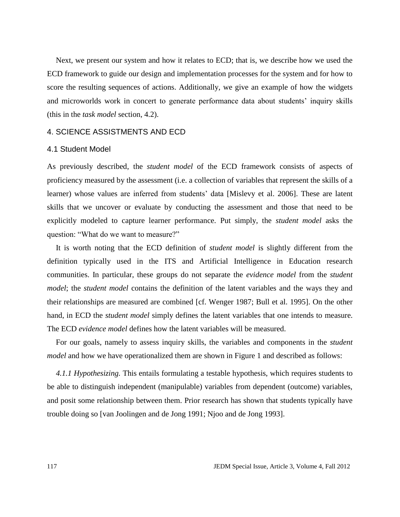Next, we present our system and how it relates to ECD; that is, we describe how we used the ECD framework to guide our design and implementation processes for the system and for how to score the resulting sequences of actions. Additionally, we give an example of how the widgets and microworlds work in concert to generate performance data about students' inquiry skills (this in the *task model* section, 4.2).

#### 4. SCIENCE ASSISTMENTS AND ECD

## 4.1 Student Model

As previously described, the *student model* of the ECD framework consists of aspects of proficiency measured by the assessment (i.e. a collection of variables that represent the skills of a learner) whose values are inferred from students' data [Mislevy et al. 2006]. These are latent skills that we uncover or evaluate by conducting the assessment and those that need to be explicitly modeled to capture learner performance. Put simply, the *student model* asks the question: "What do we want to measure?"

It is worth noting that the ECD definition of *student model* is slightly different from the definition typically used in the ITS and Artificial Intelligence in Education research communities. In particular, these groups do not separate the *evidence model* from the *student model*; the *student model* contains the definition of the latent variables and the ways they and their relationships are measured are combined [cf. Wenger 1987; Bull et al. 1995]. On the other hand, in ECD the *student model* simply defines the latent variables that one intends to measure. The ECD *evidence model* defines how the latent variables will be measured.

For our goals, namely to assess inquiry skills, the variables and components in the *student model* and how we have operationalized them are shown in Figure 1 and described as follows:

*4.1.1 Hypothesizing.* This entails formulating a testable hypothesis, which requires students to be able to distinguish independent (manipulable) variables from dependent (outcome) variables, and posit some relationship between them. Prior research has shown that students typically have trouble doing so [van Joolingen and de Jong 1991; Njoo and de Jong 1993].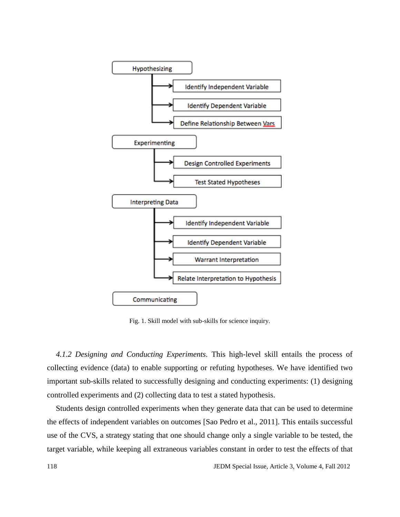

Fig. 1. Skill model with sub-skills for science inquiry.

*4.1.2 Designing and Conducting Experiments.* This high-level skill entails the process of collecting evidence (data) to enable supporting or refuting hypotheses. We have identified two important sub-skills related to successfully designing and conducting experiments: (1) designing controlled experiments and (2) collecting data to test a stated hypothesis.

Students design controlled experiments when they generate data that can be used to determine the effects of independent variables on outcomes [Sao Pedro et al., 2011]. This entails successful use of the CVS, a strategy stating that one should change only a single variable to be tested, the target variable, while keeping all extraneous variables constant in order to test the effects of that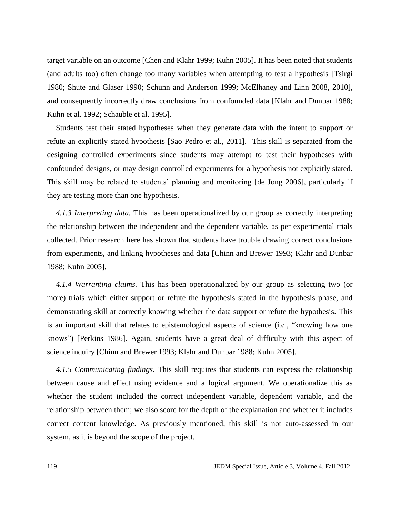target variable on an outcome [Chen and Klahr 1999; Kuhn 2005]. It has been noted that students (and adults too) often change too many variables when attempting to test a hypothesis [Tsirgi 1980; Shute and Glaser 1990; Schunn and Anderson 1999; McElhaney and Linn 2008, 2010], and consequently incorrectly draw conclusions from confounded data [Klahr and Dunbar 1988; Kuhn et al. 1992; Schauble et al. 1995].

Students test their stated hypotheses when they generate data with the intent to support or refute an explicitly stated hypothesis [Sao Pedro et al., 2011]. This skill is separated from the designing controlled experiments since students may attempt to test their hypotheses with confounded designs, or may design controlled experiments for a hypothesis not explicitly stated. This skill may be related to students' planning and monitoring [de Jong 2006], particularly if they are testing more than one hypothesis.

*4.1.3 Interpreting data.* This has been operationalized by our group as correctly interpreting the relationship between the independent and the dependent variable, as per experimental trials collected. Prior research here has shown that students have trouble drawing correct conclusions from experiments, and linking hypotheses and data [Chinn and Brewer 1993; Klahr and Dunbar 1988; Kuhn 2005].

*4.1.4 Warranting claims.* This has been operationalized by our group as selecting two (or more) trials which either support or refute the hypothesis stated in the hypothesis phase, and demonstrating skill at correctly knowing whether the data support or refute the hypothesis. This is an important skill that relates to epistemological aspects of science (i.e., "knowing how one knows") [Perkins 1986]. Again, students have a great deal of difficulty with this aspect of science inquiry [Chinn and Brewer 1993; Klahr and Dunbar 1988; Kuhn 2005].

*4.1.5 Communicating findings.* This skill requires that students can express the relationship between cause and effect using evidence and a logical argument. We operationalize this as whether the student included the correct independent variable, dependent variable, and the relationship between them; we also score for the depth of the explanation and whether it includes correct content knowledge. As previously mentioned, this skill is not auto-assessed in our system, as it is beyond the scope of the project.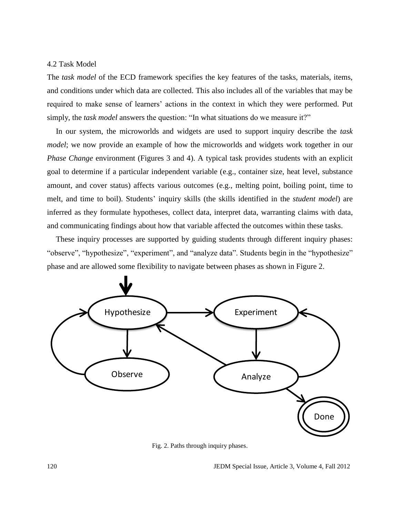## 4.2 Task Model

The *task model* of the ECD framework specifies the key features of the tasks, materials, items, and conditions under which data are collected. This also includes all of the variables that may be required to make sense of learners' actions in the context in which they were performed. Put simply, the *task model* answers the question: "In what situations do we measure it?"

In our system, the microworlds and widgets are used to support inquiry describe the *task model*; we now provide an example of how the microworlds and widgets work together in our *Phase Change* environment (Figures 3 and 4). A typical task provides students with an explicit goal to determine if a particular independent variable (e.g., container size, heat level, substance amount, and cover status) affects various outcomes (e.g., melting point, boiling point, time to melt, and time to boil). Students' inquiry skills (the skills identified in the *student model*) are inferred as they formulate hypotheses, collect data, interpret data, warranting claims with data, and communicating findings about how that variable affected the outcomes within these tasks.

These inquiry processes are supported by guiding students through different inquiry phases: "observe", "hypothesize", "experiment", and "analyze data". Students begin in the "hypothesize" phase and are allowed some flexibility to navigate between phases as shown in Figure 2.



Fig. 2. Paths through inquiry phases.

120 JEDM Special Issue, Article 3, Volume 4, Fall 2012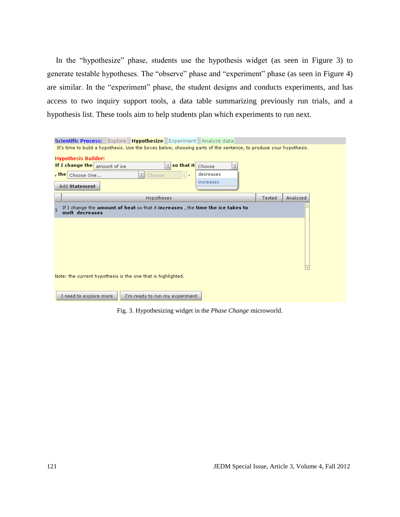In the "hypothesize" phase, students use the hypothesis widget (as seen in Figure 3) to generate testable hypotheses. The "observe" phase and "experiment" phase (as seen in Figure 4) are similar. In the "experiment" phase, the student designs and conducts experiments, and has access to two inquiry support tools, a data table summarizing previously run trials, and a hypothesis list. These tools aim to help students plan which experiments to run next.

|                                                              | Scientific Process: Explore Hypothesize Experiment Analyze data                                                   |        |          |  |  |  |  |  |  |
|--------------------------------------------------------------|-------------------------------------------------------------------------------------------------------------------|--------|----------|--|--|--|--|--|--|
|                                                              | It's time to build a hypothesis. Use the boxes below, choosing parts of the sentence, to produce your hypothesis. |        |          |  |  |  |  |  |  |
| <b>Hypothesis Builder:</b>                                   |                                                                                                                   |        |          |  |  |  |  |  |  |
|                                                              | If I change the amount of ice<br>so that it Choose<br>÷.<br>÷                                                     |        |          |  |  |  |  |  |  |
| , thel                                                       | $\div$ .<br>decreases<br>$\frac{1}{2}$ Choose<br>Choose One                                                       |        |          |  |  |  |  |  |  |
|                                                              | increases                                                                                                         |        |          |  |  |  |  |  |  |
|                                                              | Add Statement                                                                                                     |        |          |  |  |  |  |  |  |
|                                                              | Hypotheses                                                                                                        | Tested | Analyzed |  |  |  |  |  |  |
|                                                              |                                                                                                                   |        |          |  |  |  |  |  |  |
|                                                              | If I change the amount of heat so that it increases, the time the ice takes to<br>melt decreases                  |        |          |  |  |  |  |  |  |
|                                                              |                                                                                                                   |        |          |  |  |  |  |  |  |
|                                                              |                                                                                                                   |        |          |  |  |  |  |  |  |
|                                                              |                                                                                                                   |        |          |  |  |  |  |  |  |
|                                                              |                                                                                                                   |        |          |  |  |  |  |  |  |
|                                                              |                                                                                                                   |        |          |  |  |  |  |  |  |
|                                                              |                                                                                                                   |        |          |  |  |  |  |  |  |
|                                                              |                                                                                                                   |        |          |  |  |  |  |  |  |
| Note: the current hypothesis is the one that is highlighted. |                                                                                                                   |        |          |  |  |  |  |  |  |
|                                                              |                                                                                                                   |        |          |  |  |  |  |  |  |
|                                                              |                                                                                                                   |        |          |  |  |  |  |  |  |
|                                                              | I need to explore more<br>I'm ready to run my experiment                                                          |        |          |  |  |  |  |  |  |

Fig. 3. Hypothesizing widget in the *Phase Change* microworld.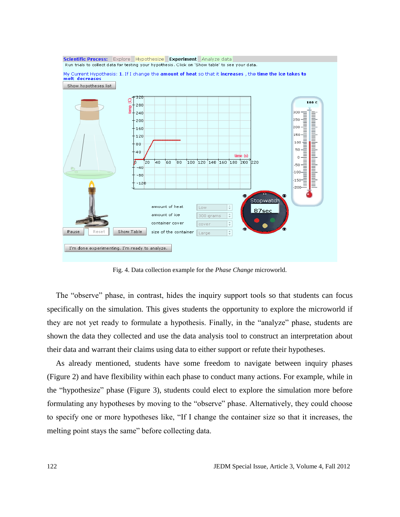

Fig. 4. Data collection example for the *Phase Change* microworld.

The "observe" phase, in contrast, hides the inquiry support tools so that students can focus specifically on the simulation. This gives students the opportunity to explore the microworld if they are not yet ready to formulate a hypothesis. Finally, in the "analyze" phase, students are shown the data they collected and use the data analysis tool to construct an interpretation about their data and warrant their claims using data to either support or refute their hypotheses.

As already mentioned, students have some freedom to navigate between inquiry phases (Figure 2) and have flexibility within each phase to conduct many actions. For example, while in the "hypothesize" phase (Figure 3), students could elect to explore the simulation more before formulating any hypotheses by moving to the "observe" phase. Alternatively, they could choose to specify one or more hypotheses like, "If I change the container size so that it increases, the melting point stays the same" before collecting data.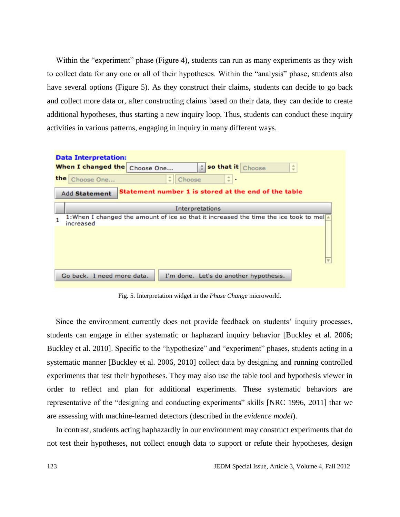Within the "experiment" phase (Figure 4), students can run as many experiments as they wish to collect data for any one or all of their hypotheses. Within the "analysis" phase, students also have several options (Figure 5). As they construct their claims, students can decide to go back and collect more data or, after constructing claims based on their data, they can decide to create additional hypotheses, thus starting a new inquiry loop. Thus, students can conduct these inquiry activities in various patterns, engaging in inquiry in many different ways.



Fig. 5. Interpretation widget in the *Phase Change* microworld.

Since the environment currently does not provide feedback on students' inquiry processes, students can engage in either systematic or haphazard inquiry behavior [Buckley et al. 2006; Buckley et al. 2010]. Specific to the "hypothesize" and "experiment" phases, students acting in a systematic manner [Buckley et al. 2006, 2010] collect data by designing and running controlled experiments that test their hypotheses. They may also use the table tool and hypothesis viewer in order to reflect and plan for additional experiments. These systematic behaviors are representative of the "designing and conducting experiments" skills [NRC 1996, 2011] that we are assessing with machine-learned detectors (described in the *evidence model*).

In contrast, students acting haphazardly in our environment may construct experiments that do not test their hypotheses, not collect enough data to support or refute their hypotheses, design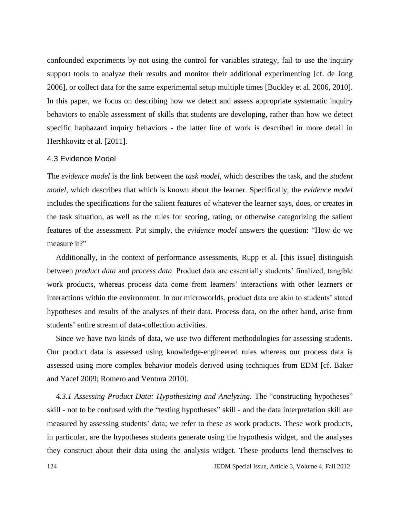confounded experiments by not using the control for variables strategy, fail to use the inquiry support tools to analyze their results and monitor their additional experimenting [cf. de Jong 2006], or collect data for the same experimental setup multiple times [Buckley et al. 2006, 2010]. In this paper, we focus on describing how we detect and assess appropriate systematic inquiry behaviors to enable assessment of skills that students are developing, rather than how we detect specific haphazard inquiry behaviors - the latter line of work is described in more detail in Hershkovitz et al. [2011].

# 4.3 Evidence Model

The *evidence model* is the link between the *task model*, which describes the task, and the *student model*, which describes that which is known about the learner. Specifically, the *evidence model* includes the specifications for the salient features of whatever the learner says, does, or creates in the task situation, as well as the rules for scoring, rating, or otherwise categorizing the salient features of the assessment. Put simply, the *evidence model* answers the question: "How do we measure it?"

Additionally, in the context of performance assessments, Rupp et al. [this issue] distinguish between *product data* and *process data*. Product data are essentially students' finalized, tangible work products, whereas process data come from learners' interactions with other learners or interactions within the environment. In our microworlds, product data are akin to students' stated hypotheses and results of the analyses of their data. Process data, on the other hand, arise from students' entire stream of data-collection activities.

Since we have two kinds of data, we use two different methodologies for assessing students. Our product data is assessed using knowledge-engineered rules whereas our process data is assessed using more complex behavior models derived using techniques from EDM [cf. Baker and Yacef 2009; Romero and Ventura 2010].

4.3.1 Assessing Product Data: Hypothesizing and Analyzing. The "constructing hypotheses" skill - not to be confused with the "testing hypotheses" skill - and the data interpretation skill are measured by assessing students' data; we refer to these as work products. These work products, in particular, are the hypotheses students generate using the hypothesis widget, and the analyses they construct about their data using the analysis widget. These products lend themselves to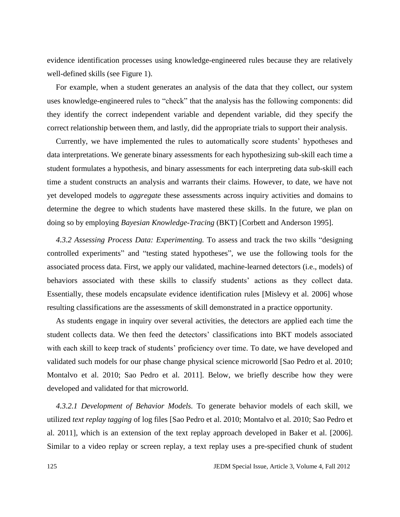evidence identification processes using knowledge-engineered rules because they are relatively well-defined skills (see Figure 1).

For example, when a student generates an analysis of the data that they collect, our system uses knowledge-engineered rules to "check" that the analysis has the following components: did they identify the correct independent variable and dependent variable, did they specify the correct relationship between them, and lastly, did the appropriate trials to support their analysis.

Currently, we have implemented the rules to automatically score students' hypotheses and data interpretations. We generate binary assessments for each hypothesizing sub-skill each time a student formulates a hypothesis, and binary assessments for each interpreting data sub-skill each time a student constructs an analysis and warrants their claims. However, to date, we have not yet developed models to *aggregate* these assessments across inquiry activities and domains to determine the degree to which students have mastered these skills. In the future, we plan on doing so by employing *Bayesian Knowledge-Tracing* (BKT) [Corbett and Anderson 1995].

*4.3.2 Assessing Process Data: Experimenting.* To assess and track the two skills "designing controlled experiments" and "testing stated hypotheses", we use the following tools for the associated process data. First, we apply our validated, machine-learned detectors (i.e., models) of behaviors associated with these skills to classify students' actions as they collect data. Essentially, these models encapsulate evidence identification rules [Mislevy et al. 2006] whose resulting classifications are the assessments of skill demonstrated in a practice opportunity.

As students engage in inquiry over several activities, the detectors are applied each time the student collects data. We then feed the detectors' classifications into BKT models associated with each skill to keep track of students' proficiency over time. To date, we have developed and validated such models for our phase change physical science microworld [Sao Pedro et al. 2010; Montalvo et al. 2010; Sao Pedro et al. 2011]. Below, we briefly describe how they were developed and validated for that microworld.

*4.3.2.1 Development of Behavior Models.* To generate behavior models of each skill, we utilized *text replay tagging* of log files [Sao Pedro et al. 2010; Montalvo et al. 2010; Sao Pedro et al. 2011], which is an extension of the text replay approach developed in Baker et al. [2006]. Similar to a video replay or screen replay, a text replay uses a pre-specified chunk of student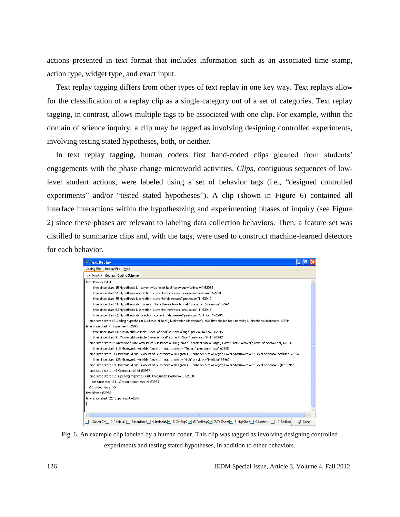actions presented in text format that includes information such as an associated time stamp, action type, widget type, and exact input.

Text replay tagging differs from other types of text replay in one key way. Text replays allow for the classification of a replay clip as a single category out of a set of categories. Text replay tagging, in contrast, allows multiple tags to be associated with one clip. For example, within the domain of science inquiry, a clip may be tagged as involving designing controlled experiments, involving testing stated hypotheses, both, or neither.

In text replay tagging, human coders first hand-coded clips gleaned from students' engagements with the phase change microworld activities. *Clips*, contiguous sequences of lowlevel student actions, were labeled using a set of behavior tags (i.e., "designed controlled experiments" and/or "tested stated hypotheses"). A clip (shown in Figure 6) contained all interface interactions within the hypothesizing and experimenting phases of inquiry (see Figure 2) since these phases are relevant to labeling data collection behaviors. Then, a feature set was distilled to summarize clips and, with the tags, were used to construct machine-learned detectors for each behavior.

| <sup>1</sup> Text Replay                                                                                                                                 |        |
|----------------------------------------------------------------------------------------------------------------------------------------------------------|--------|
| Coding File<br>Replay File<br>Help                                                                                                                       |        |
| Text Replay<br>Coding Coding Scheme                                                                                                                      |        |
| Hypothesis 62934                                                                                                                                         |        |
| time since start:15 Hypothesis iv: current="Level of heat" previous="unknown" 62938                                                                      |        |
| time since start:22 Hypothesis iv direction: current="increases" previous="unknown" 62939                                                                |        |
| time since start:35 Hypothesis iv direction: current="decreases" previous="1" 62940                                                                      |        |
| time since start:38 Hypothesis dv: current="time the ice took to melt" previous="unknown" 62941                                                          |        |
| time since start:53 Hypothesis iv direction: current="increases" previous="-1" 62942                                                                     |        |
| time since start:62 Hypothesis dv direction: current="decreases" previous="unknown" 62943                                                                |        |
| time since start:68 Adding hypothesis: iv='Level of heat'; iv direction='increases'; dv='time the ice took to melt'; iv direction='decreases' 62944      |        |
| time since start: 71 Experiment 62945                                                                                                                    |        |
| time since start:88 Microworld variable:"Level of heat" current="High" previous="Low" 62946                                                              |        |
| time since start:91 Microworld variable:"Level of heat" current="Low" previous="High" 62947                                                              |        |
| time since start:94 Microworld run: Amount of Substance='300 grams'; Container Size='Large'; Cover Status='cover'; Level of heat='Low'; 62948            |        |
| time since start:115 Microworld variable:"Level of heat" current="Medium" previous="Low" 62955                                                           |        |
| time since start:117 Microworld run: Amount of Substance='300 grams'; Container Size='Large'; Cover Status='cover'; Level of heat='Medium'; 62956        |        |
| time since start:138 Microworld variable:"Level of heat" current="High" previous="Medium" 62963                                                          |        |
| time since start:140 Microworld run: Amount of Substance='300 grams'; Container Size='Large'; Cover Status='cover'; Level of heat='High'; 62964          |        |
| time since start:149 Opening trial list 62967                                                                                                            |        |
| time since start:185 Opening hypothesis list, timesincelastaction=35 62968                                                                               |        |
| time since start:211 Closing hypothesis list 62969                                                                                                       |        |
| << Clip Boundary >>                                                                                                                                      |        |
| Hypothesis 62982                                                                                                                                         |        |
| time since start:327 Experiment 62984                                                                                                                    |        |
|                                                                                                                                                          |        |
|                                                                                                                                                          |        |
| $\mathbf{m}$                                                                                                                                             |        |
| 1.NeverCh 2.RptTrial 3.NonInter 4.Indecisiv 5.CtrlExp? <a> Fishtyp<br/> 7.TblShow <a> FishtypShow <a> 1.NeverCh 2.RptTrial <a> 10.BadDat</a></a></a></a> | M Done |

Fig. 6. An example clip labeled by a human coder. This clip was tagged as involving designing controlled experiments and testing stated hypotheses, in addition to other behaviors.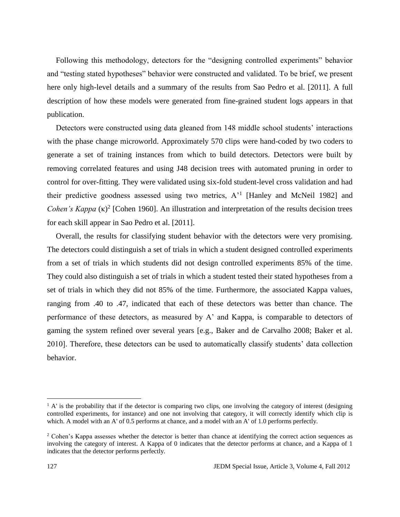Following this methodology, detectors for the "designing controlled experiments" behavior and "testing stated hypotheses" behavior were constructed and validated. To be brief, we present here only high-level details and a summary of the results from Sao Pedro et al. [2011]. A full description of how these models were generated from fine-grained student logs appears in that publication.

Detectors were constructed using data gleaned from 148 middle school students' interactions with the phase change microworld. Approximately 570 clips were hand-coded by two coders to generate a set of training instances from which to build detectors. Detectors were built by removing correlated features and using J48 decision trees with automated pruning in order to control for over-fitting. They were validated using six-fold student-level cross validation and had their predictive goodness assessed using two metrics,  $A<sup>1</sup>$  [Hanley and McNeil 1982] and *Cohen's Kappa* (κ)<sup>2</sup> [Cohen 1960]. An illustration and interpretation of the results decision trees for each skill appear in Sao Pedro et al. [2011].

Overall, the results for classifying student behavior with the detectors were very promising. The detectors could distinguish a set of trials in which a student designed controlled experiments from a set of trials in which students did not design controlled experiments 85% of the time. They could also distinguish a set of trials in which a student tested their stated hypotheses from a set of trials in which they did not 85% of the time. Furthermore, the associated Kappa values, ranging from .40 to .47, indicated that each of these detectors was better than chance. The performance of these detectors, as measured by A' and Kappa, is comparable to detectors of gaming the system refined over several years [e.g., Baker and de Carvalho 2008; Baker et al. 2010]. Therefore, these detectors can be used to automatically classify students' data collection behavior.

 $\overline{a}$ 

 $<sup>1</sup>$  A' is the probability that if the detector is comparing two clips, one involving the category of interest (designing</sup> controlled experiments, for instance) and one not involving that category, it will correctly identify which clip is which. A model with an A' of 0.5 performs at chance, and a model with an A' of 1.0 performs perfectly.

<sup>&</sup>lt;sup>2</sup> Cohen's Kappa assesses whether the detector is better than chance at identifying the correct action sequences as involving the category of interest. A Kappa of 0 indicates that the detector performs at chance, and a Kappa of 1 indicates that the detector performs perfectly.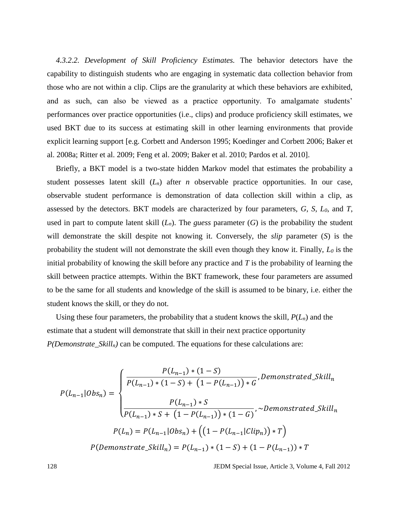*4.3.2.2. Development of Skill Proficiency Estimates.* The behavior detectors have the capability to distinguish students who are engaging in systematic data collection behavior from those who are not within a clip. Clips are the granularity at which these behaviors are exhibited, and as such, can also be viewed as a practice opportunity. To amalgamate students' performances over practice opportunities (i.e., clips) and produce proficiency skill estimates, we used BKT due to its success at estimating skill in other learning environments that provide explicit learning support [e.g. Corbett and Anderson 1995; Koedinger and Corbett 2006; Baker et al. 2008a; Ritter et al. 2009; Feng et al. 2009; Baker et al. 2010; Pardos et al. 2010].

Briefly, a BKT model is a two-state hidden Markov model that estimates the probability a student possesses latent skill (*Ln*) after *n* observable practice opportunities. In our case, observable student performance is demonstration of data collection skill within a clip, as assessed by the detectors. BKT models are characterized by four parameters, *G*, *S*, *L0*, and *T*, used in part to compute latent skill  $(L_n)$ . The *guess* parameter  $(G)$  is the probability the student will demonstrate the skill despite not knowing it. Conversely, the *slip* parameter (*S*) is the probability the student will not demonstrate the skill even though they know it. Finally, *L<sup>0</sup>* is the initial probability of knowing the skill before any practice and *T* is the probability of learning the skill between practice attempts. Within the BKT framework, these four parameters are assumed to be the same for all students and knowledge of the skill is assumed to be binary, i.e. either the student knows the skill, or they do not.

Using these four parameters, the probability that a student knows the skill, *P*(*Ln*) and the estimate that a student will demonstrate that skill in their next practice opportunity *P(Demonstrate\_Skilln)* can be computed. The equations for these calculations are:

$$
P(L_{n-1}|Obs_n) = \begin{cases} \frac{P(L_{n-1}) * (1 - S)}{P(L_{n-1}) * (1 - S) + (1 - P(L_{n-1})) * G}, Demonstrated_Skill_n \\ \frac{P(L_{n-1}) * S}{P(L_{n-1}) * S + (1 - P(L_{n-1})) * (1 - G)}, \sim Demonstrated_Skill_n \\ \frac{P(L_n) = P(L_{n-1}|Obs_n) + ((1 - P(L_{n-1}|Clip_n)) * T)}{P(Demonstrate_Skill_n) = P(L_{n-1}) * (1 - S) + (1 - P(L_{n-1})) * T} \end{cases}
$$

128 JEDM Special Issue, Article 3, Volume 4, Fall 2012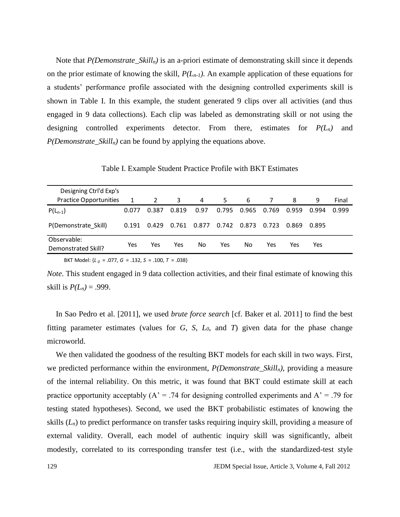Note that *P(Demonstrate\_Skilln)* is an a-priori estimate of demonstrating skill since it depends on the prior estimate of knowing the skill,  $P(L_{n-1})$ . An example application of these equations for a students' performance profile associated with the designing controlled experiments skill is shown in Table I. In this example, the student generated 9 clips over all activities (and thus engaged in 9 data collections). Each clip was labeled as demonstrating skill or not using the designing controlled experiments detector. From there, estimates for *P(Ln)* and *P(Demonstrate\_Skilln)* can be found by applying the equations above.

Table I. Example Student Practice Profile with BKT Estimates

| Designing Ctrl'd Exp's             |       |       |       |       |       |       |       |       |       |       |
|------------------------------------|-------|-------|-------|-------|-------|-------|-------|-------|-------|-------|
| <b>Practice Opportunities</b>      | 1     | 2     | 3     | 4     | 5     | 6     |       | 8     | 9     | Final |
| $P(L_{n-1})$                       | 0.077 | 0.387 | 0.819 | 0.97  | 0.795 | 0.965 | 0.769 | 0.959 | 0.994 | በ 999 |
| P(Demonstrate Skill)               | በ 191 | 0.429 | 0.761 | 0.877 | 0.742 | 0.873 | 0.723 | 0.869 | 0.895 |       |
| Observable:<br>Demonstrated Skill? | Yes   | Yes   | Yes   | No    | Yes   | No    | Yes   | Yes   | Yes   |       |

BKT Model: {*L <sup>0</sup>* = .077, *G* = .132, *S* = .100, *T* = .038}

*Note*. This student engaged in 9 data collection activities, and their final estimate of knowing this skill is  $P(L_n) = .999$ .

In Sao Pedro et al. [2011], we used *brute force search* [cf. Baker et al. 2011] to find the best fitting parameter estimates (values for *G*, *S*, *L0*, and *T*) given data for the phase change microworld.

We then validated the goodness of the resulting BKT models for each skill in two ways. First, we predicted performance within the environment, *P(Demonstrate\_Skilln)*, providing a measure of the internal reliability. On this metric, it was found that BKT could estimate skill at each practice opportunity acceptably  $(A^{\prime} = .74$  for designing controlled experiments and  $A^{\prime} = .79$  for testing stated hypotheses). Second, we used the BKT probabilistic estimates of knowing the skills (*Ln*) to predict performance on transfer tasks requiring inquiry skill, providing a measure of external validity. Overall, each model of authentic inquiry skill was significantly, albeit modestly, correlated to its corresponding transfer test (i.e., with the standardized-test style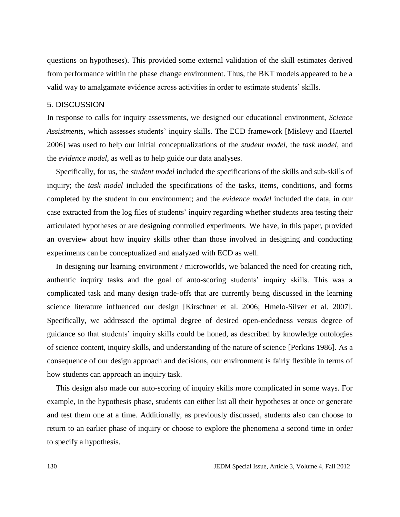questions on hypotheses). This provided some external validation of the skill estimates derived from performance within the phase change environment. Thus, the BKT models appeared to be a valid way to amalgamate evidence across activities in order to estimate students' skills.

# 5. DISCUSSION

In response to calls for inquiry assessments, we designed our educational environment, *Science Assistments*, which assesses students' inquiry skills. The ECD framework [Mislevy and Haertel 2006] was used to help our initial conceptualizations of the *student model*, the *task model*, and the *evidence model*, as well as to help guide our data analyses.

Specifically, for us, the *student model* included the specifications of the skills and sub-skills of inquiry; the *task model* included the specifications of the tasks, items, conditions, and forms completed by the student in our environment; and the *evidence model* included the data, in our case extracted from the log files of students' inquiry regarding whether students area testing their articulated hypotheses or are designing controlled experiments. We have, in this paper, provided an overview about how inquiry skills other than those involved in designing and conducting experiments can be conceptualized and analyzed with ECD as well.

In designing our learning environment / microworlds, we balanced the need for creating rich, authentic inquiry tasks and the goal of auto-scoring students' inquiry skills. This was a complicated task and many design trade-offs that are currently being discussed in the learning science literature influenced our design [Kirschner et al. 2006; Hmelo-Silver et al. 2007]. Specifically, we addressed the optimal degree of desired open-endedness versus degree of guidance so that students' inquiry skills could be honed, as described by knowledge ontologies of science content, inquiry skills, and understanding of the nature of science [Perkins 1986]. As a consequence of our design approach and decisions, our environment is fairly flexible in terms of how students can approach an inquiry task.

This design also made our auto-scoring of inquiry skills more complicated in some ways. For example, in the hypothesis phase, students can either list all their hypotheses at once or generate and test them one at a time. Additionally, as previously discussed, students also can choose to return to an earlier phase of inquiry or choose to explore the phenomena a second time in order to specify a hypothesis.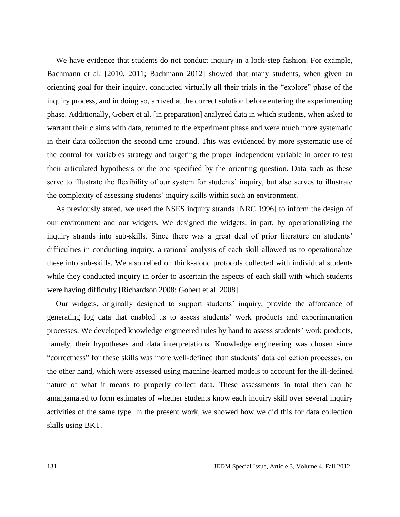We have evidence that students do not conduct inquiry in a lock-step fashion. For example, Bachmann et al. [2010, 2011; Bachmann 2012] showed that many students, when given an orienting goal for their inquiry, conducted virtually all their trials in the "explore" phase of the inquiry process, and in doing so, arrived at the correct solution before entering the experimenting phase. Additionally, Gobert et al. [in preparation] analyzed data in which students, when asked to warrant their claims with data, returned to the experiment phase and were much more systematic in their data collection the second time around. This was evidenced by more systematic use of the control for variables strategy and targeting the proper independent variable in order to test their articulated hypothesis or the one specified by the orienting question. Data such as these serve to illustrate the flexibility of our system for students' inquiry, but also serves to illustrate the complexity of assessing students' inquiry skills within such an environment.

As previously stated, we used the NSES inquiry strands [NRC 1996] to inform the design of our environment and our widgets. We designed the widgets, in part, by operationalizing the inquiry strands into sub-skills. Since there was a great deal of prior literature on students' difficulties in conducting inquiry, a rational analysis of each skill allowed us to operationalize these into sub-skills. We also relied on think-aloud protocols collected with individual students while they conducted inquiry in order to ascertain the aspects of each skill with which students were having difficulty [Richardson 2008; Gobert et al. 2008].

Our widgets, originally designed to support students' inquiry, provide the affordance of generating log data that enabled us to assess students' work products and experimentation processes. We developed knowledge engineered rules by hand to assess students' work products, namely, their hypotheses and data interpretations. Knowledge engineering was chosen since "correctness" for these skills was more well-defined than students' data collection processes, on the other hand, which were assessed using machine-learned models to account for the ill-defined nature of what it means to properly collect data. These assessments in total then can be amalgamated to form estimates of whether students know each inquiry skill over several inquiry activities of the same type. In the present work, we showed how we did this for data collection skills using BKT.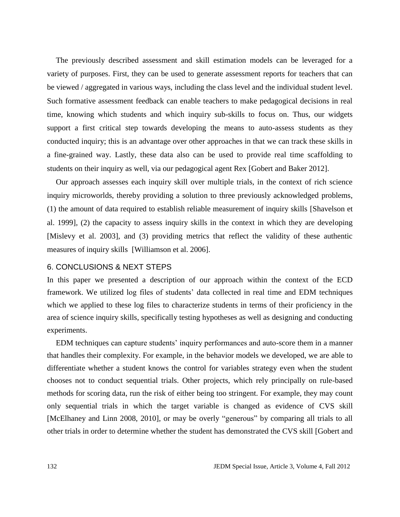The previously described assessment and skill estimation models can be leveraged for a variety of purposes. First, they can be used to generate assessment reports for teachers that can be viewed / aggregated in various ways, including the class level and the individual student level. Such formative assessment feedback can enable teachers to make pedagogical decisions in real time, knowing which students and which inquiry sub-skills to focus on. Thus, our widgets support a first critical step towards developing the means to auto-assess students as they conducted inquiry; this is an advantage over other approaches in that we can track these skills in a fine-grained way. Lastly, these data also can be used to provide real time scaffolding to students on their inquiry as well, via our pedagogical agent Rex [Gobert and Baker 2012].

Our approach assesses each inquiry skill over multiple trials, in the context of rich science inquiry microworlds, thereby providing a solution to three previously acknowledged problems, (1) the amount of data required to establish reliable measurement of inquiry skills [Shavelson et al. 1999], (2) the capacity to assess inquiry skills in the context in which they are developing [Mislevy et al. 2003], and (3) providing metrics that reflect the validity of these authentic measures of inquiry skills [Williamson et al. 2006].

# 6. CONCLUSIONS & NEXT STEPS

In this paper we presented a description of our approach within the context of the ECD framework. We utilized log files of students' data collected in real time and EDM techniques which we applied to these log files to characterize students in terms of their proficiency in the area of science inquiry skills, specifically testing hypotheses as well as designing and conducting experiments.

EDM techniques can capture students' inquiry performances and auto-score them in a manner that handles their complexity. For example, in the behavior models we developed, we are able to differentiate whether a student knows the control for variables strategy even when the student chooses not to conduct sequential trials. Other projects, which rely principally on rule-based methods for scoring data, run the risk of either being too stringent. For example, they may count only sequential trials in which the target variable is changed as evidence of CVS skill [McElhaney and Linn 2008, 2010], or may be overly "generous" by comparing all trials to all other trials in order to determine whether the student has demonstrated the CVS skill [Gobert and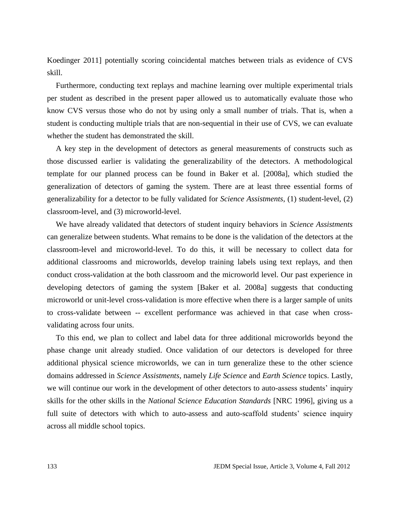Koedinger 2011] potentially scoring coincidental matches between trials as evidence of CVS skill.

Furthermore, conducting text replays and machine learning over multiple experimental trials per student as described in the present paper allowed us to automatically evaluate those who know CVS versus those who do not by using only a small number of trials. That is, when a student is conducting multiple trials that are non-sequential in their use of CVS, we can evaluate whether the student has demonstrated the skill.

A key step in the development of detectors as general measurements of constructs such as those discussed earlier is validating the generalizability of the detectors. A methodological template for our planned process can be found in Baker et al. [2008a], which studied the generalization of detectors of gaming the system. There are at least three essential forms of generalizability for a detector to be fully validated for *Science Assistments*, (1) student-level, (2) classroom-level, and (3) microworld-level.

We have already validated that detectors of student inquiry behaviors in *Science Assistments* can generalize between students. What remains to be done is the validation of the detectors at the classroom-level and microworld-level. To do this, it will be necessary to collect data for additional classrooms and microworlds, develop training labels using text replays, and then conduct cross-validation at the both classroom and the microworld level. Our past experience in developing detectors of gaming the system [Baker et al. 2008a] suggests that conducting microworld or unit-level cross-validation is more effective when there is a larger sample of units to cross-validate between -- excellent performance was achieved in that case when crossvalidating across four units.

To this end, we plan to collect and label data for three additional microworlds beyond the phase change unit already studied. Once validation of our detectors is developed for three additional physical science microworlds, we can in turn generalize these to the other science domains addressed in *Science Assistments*, namely *Life Science* and *Earth Science* topics. Lastly, we will continue our work in the development of other detectors to auto-assess students' inquiry skills for the other skills in the *National Science Education Standards* [NRC 1996], giving us a full suite of detectors with which to auto-assess and auto-scaffold students' science inquiry across all middle school topics.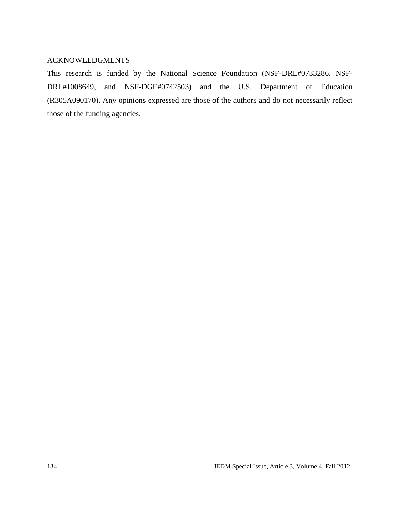# ACKNOWLEDGMENTS

This research is funded by the National Science Foundation (NSF-DRL#0733286, NSF-DRL#1008649, and NSF-DGE#0742503) and the U.S. Department of Education (R305A090170). Any opinions expressed are those of the authors and do not necessarily reflect those of the funding agencies.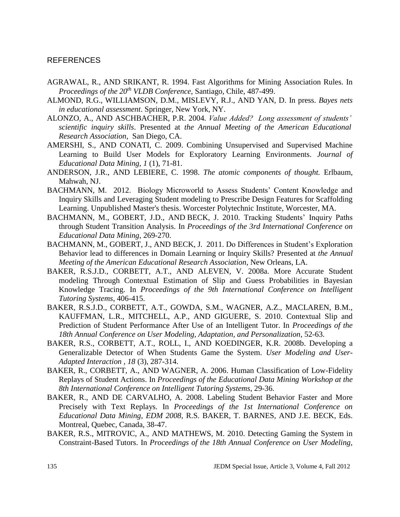# REFERENCES

- AGRAWAL, R., AND SRIKANT, R. 1994. Fast Algorithms for Mining Association Rules. In *Proceedings of the 20th VLDB Conference*, Santiago, Chile, 487-499.
- ALMOND, R.G., WILLIAMSON, D.M., MISLEVY, R.J., AND YAN, D. In press. *Bayes nets in educational assessment*. Springer, New York, NY.
- ALONZO, A., AND ASCHBACHER, P.R. 2004. *Value Added? Long assessment of students' scientific inquiry skills*. Presented at *the Annual Meeting of the American Educational Research Association*, San Diego, CA.
- AMERSHI, S., AND CONATI, C. 2009. Combining Unsupervised and Supervised Machine Learning to Build User Models for Exploratory Learning Environments. *Journal of Educational Data Mining, 1* (1), 71-81.
- ANDERSON, J.R., AND LEBIERE, C. 1998. *The atomic components of thought.* Erlbaum, Mahwah, NJ.
- BACHMANN, M. 2012. Biology Microworld to Assess Students' Content Knowledge and Inquiry Skills and Leveraging Student modeling to Prescribe Design Features for Scaffolding Learning. Unpublished Master's thesis. Worcester Polytechnic Institute, Worcester, MA.
- BACHMANN, M., GOBERT, J.D., AND BECK, J. 2010. Tracking Students' Inquiry Paths through Student Transition Analysis. In *Proceedings of the 3rd International Conference on Educational Data Mining*, 269-270.
- BACHMANN, M., GOBERT, J., AND BECK, J*.* 2011. Do Differences in Student's Exploration Behavior lead to differences in Domain Learning or Inquiry Skills? Presented at *the Annual Meeting of the American Educational Research Association*, New Orleans, LA.
- BAKER, R.S.J.D., CORBETT, A.T., AND ALEVEN, V. 2008a. More Accurate Student modeling Through Contextual Estimation of Slip and Guess Probabilities in Bayesian Knowledge Tracing. In *Proceedings of the 9th International Conference on Intelligent Tutoring Systems*, 406-415.
- BAKER, R.S.J.D., CORBETT, A.T., GOWDA, S.M., WAGNER, A.Z., MACLAREN, B.M., KAUFFMAN, L.R., MITCHELL, A.P., AND GIGUERE, S. 2010. Contextual Slip and Prediction of Student Performance After Use of an Intelligent Tutor. In *Proceedings of the 18th Annual Conference on User Modeling, Adaptation, and Personalization*, 52-63.
- BAKER, R.S., CORBETT, A.T., ROLL, I., AND KOEDINGER, K.R. 2008b. Developing a Generalizable Detector of When Students Game the System. *User Modeling and User-Adapted Interaction , 18* (3), 287-314.
- BAKER, R., CORBETT, A., AND WAGNER, A. 2006. Human Classification of Low-Fidelity Replays of Student Actions. In *Proceedings of the Educational Data Mining Workshop at the 8th International Conference on Intelligent Tutoring Systems*, 29-36.
- BAKER, R., AND DE CARVALHO, A. 2008. Labeling Student Behavior Faster and More Precisely with Text Replays. In *Proceedings of the 1st International Conference on Educational Data Mining, EDM 2008*, R.S. BAKER, T. BARNES, AND J.E. BECK, Eds. Montreal, Quebec, Canada, 38-47.
- BAKER, R.S., MITROVIC, A., AND MATHEWS, M. 2010. Detecting Gaming the System in Constraint-Based Tutors. In *Proceedings of the 18th Annual Conference on User Modeling,*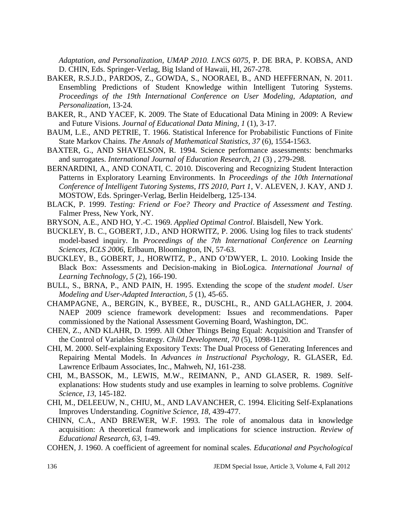*Adaptation, and Personalization, UMAP 2010. LNCS 6075*, P. DE BRA, P. KOBSA, AND D. CHIN, Eds. Springer-Verlag, Big Island of Hawaii, HI, 267-278.

- BAKER, R.S.J.D., PARDOS, Z., GOWDA, S., NOORAEI, B., AND HEFFERNAN, N. 2011. Ensembling Predictions of Student Knowledge within Intelligent Tutoring Systems. *Proceedings of the 19th International Conference on User Modeling, Adaptation, and Personalization*, 13-24*.*
- BAKER, R., AND YACEF, K. 2009. The State of Educational Data Mining in 2009: A Review and Future Visions. *Journal of Educational Data Mining, 1* (1), 3-17.
- BAUM, L.E., AND PETRIE, T. 1966. Statistical Inference for Probabilistic Functions of Finite State Markov Chains. *The Annals of Mathematical Statistics, 37* (6), 1554-1563.
- BAXTER, G., AND SHAVELSON, R. 1994. Science performance assessments: benchmarks and surrogates. *International Journal of Education Research, 21* (3) , 279-298.
- BERNARDINI, A., AND CONATI, C. 2010. Discovering and Recognizing Student Interaction Patterns in Exploratory Learning Environments. In *Proceedings of the 10th International Conference of Intelligent Tutoring Systems, ITS 2010, Part 1*, V. ALEVEN, J. KAY, AND J. MOSTOW, Eds. Springer-Verlag, Berlin Heidelberg, 125-134.
- BLACK, P. 1999. *Testing: Friend or Foe? Theory and Practice of Assessment and Testing.* Falmer Press, New York, NY.
- BRYSON, A.E., AND HO, Y.-C. 1969. *Applied Optimal Control*. Blaisdell, New York.
- BUCKLEY, B. C., GOBERT, J.D., AND HORWITZ, P. 2006. Using log files to track students' model-based inquiry. In *Proceedings of the 7th International Conference on Learning Sciences, ICLS 2006*, Erlbaum, Bloomington, IN, 57-63.
- BUCKLEY, B., GOBERT, J., HORWITZ, P., AND O'DWYER, L. 2010. Looking Inside the Black Box: Assessments and Decision-making in BioLogica. *International Journal of Learning Technology, 5* (2), 166-190.
- BULL, S., BRNA, P., AND PAIN, H. 1995. Extending the scope of the *student model*. *User Modeling and User-Adapted Interaction, 5* (1), 45-65.
- CHAMPAGNE, A., BERGIN, K., BYBEE, R., DUSCHL, R., AND GALLAGHER, J. 2004. NAEP 2009 science framework development: Issues and recommendations. Paper commissioned by the National Assessment Governing Board, Washington, DC.
- CHEN, Z., AND KLAHR, D. 1999. All Other Things Being Equal: Acquisition and Transfer of the Control of Variables Strategy. *Child Development, 70* (5), 1098-1120.
- CHI, M. 2000. Self-explaining Expository Texts: The Dual Process of Generating Inferences and Repairing Mental Models. In *Advances in Instructional Psychology*, R. GLASER, Ed. Lawrence Erlbaum Associates, Inc., Mahweh, NJ, 161-238.
- CHI, M., BASSOK, M., LEWIS, M.W., REIMANN, P., AND GLASER, R. 1989. Selfexplanations: How students study and use examples in learning to solve problems. *Cognitive Science*, *13*, 145-182.
- CHI, M., DELEEUW, N., CHIU, M., AND LAVANCHER, C. 1994. Eliciting Self-Explanations Improves Understanding. *Cognitive Science, 18*, 439-477.
- CHINN, C.A., AND BREWER, W.F. 1993. The role of anomalous data in knowledge acquisition: A theoretical framework and implications for science instruction. *Review of Educational Research, 63*, 1-49.
- COHEN, J. 1960. A coefficient of agreement for nominal scales. *Educational and Psychological*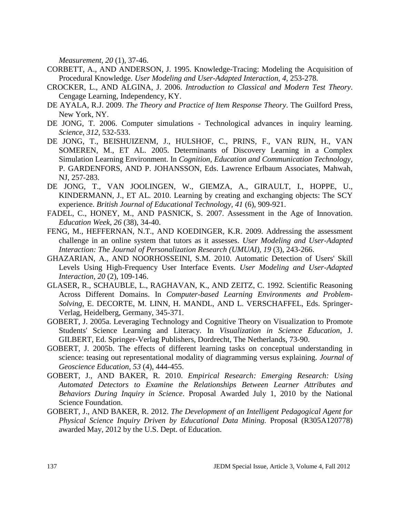*Measurement, 20* (1), 37-46.

- CORBETT, A., AND ANDERSON, J. 1995. Knowledge-Tracing: Modeling the Acquisition of Procedural Knowledge. *User Modeling and User-Adapted Interaction, 4*, 253-278.
- CROCKER, L., AND ALGINA, J. 2006. *Introduction to Classical and Modern Test Theory*. Cengage Learning, Independency, KY.
- DE AYALA, R.J. 2009. *The Theory and Practice of Item Response Theory*. The Guilford Press, New York, NY.
- DE JONG, T. 2006. Computer simulations Technological advances in inquiry learning. *Science, 312*, 532-533.
- DE JONG, T., BEISHUIZENM, J., HULSHOF, C., PRINS, F., VAN RIJN, H., VAN SOMEREN, M., ET AL. 2005. Determinants of Discovery Learning in a Complex Simulation Learning Environment. In *Cognition, Education and Communication Technology,* P. GARDENFORS, AND P. JOHANSSON, Eds. Lawrence Erlbaum Associates, Mahwah, NJ, 257-283.
- DE JONG, T., VAN JOOLINGEN, W., GIEMZA, A., GIRAULT, I., HOPPE, U., KINDERMANN, J., ET AL. 2010. Learning by creating and exchanging objects: The SCY experience. *British Journal of Educational Technology, 41* (6), 909-921.
- FADEL, C., HONEY, M., AND PASNICK, S. 2007. Assessment in the Age of Innovation. *Education Week, 26* (38), 34-40.
- FENG, M., HEFFERNAN, N.T., AND KOEDINGER, K.R. 2009. Addressing the assessment challenge in an online system that tutors as it assesses. *User Modeling and User-Adapted Interaction: The Journal of Personalization Research (UMUAI), 19* (3), 243-266.
- GHAZARIAN, A., AND NOORHOSSEINI, S.M. 2010. Automatic Detection of Users' Skill Levels Using High-Frequency User Interface Events. *User Modeling and User-Adapted Interaction, 20* (2), 109-146.
- GLASER, R., SCHAUBLE, L., RAGHAVAN, K., AND ZEITZ, C. 1992. Scientific Reasoning Across Different Domains. In *Computer-based Learning Environments and Problem-Solving*, E. DECORTE, M. LINN, H. MANDL, AND L. VERSCHAFFEL, Eds. Springer-Verlag, Heidelberg, Germany, 345-371.
- GOBERT, J. 2005a. Leveraging Technology and Cognitive Theory on Visualization to Promote Students' Science Learning and Literacy. In *Visualization in Science Education*, J. GILBERT, Ed. Springer-Verlag Publishers, Dordrecht, The Netherlands, 73-90.
- GOBERT, J. 2005b. The effects of different learning tasks on conceptual understanding in science: teasing out representational modality of diagramming versus explaining*. Journal of Geoscience Education, 53* (4), 444-455.
- GOBERT, J., AND BAKER, R. 2010. *Empirical Research: Emerging Research: Using Automated Detectors to Examine the Relationships Between Learner Attributes and Behaviors During Inquiry in Science*. Proposal Awarded July 1, 2010 by the National Science Foundation.
- GOBERT, J., AND BAKER, R. 2012. *The Development of an Intelligent Pedagogical Agent for Physical Science Inquiry Driven by Educational Data Mining.* Proposal (R305A120778) awarded May, 2012 by the U.S. Dept. of Education.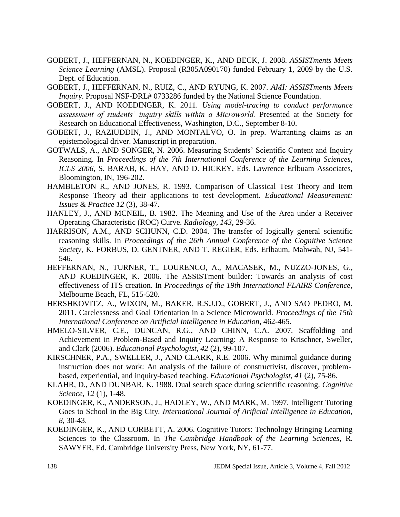- GOBERT, J., HEFFERNAN, N., KOEDINGER, K., AND BECK, J. 2008. *ASSISTments Meets Science Learning* (AMSL). Proposal (R305A090170) funded February 1, 2009 by the U.S. Dept. of Education.
- GOBERT, J., HEFFERNAN, N., RUIZ, C., AND RYUNG, K. 2007. *AMI: ASSISTments Meets Inquiry*. Proposal NSF-DRL# 0733286 funded by the National Science Foundation.
- GOBERT, J., AND KOEDINGER, K. 2011. *Using model-tracing to conduct performance assessment of students' inquiry skills within a Microworld.* Presented at the Society for Research on Educational Effectiveness, Washington, D.C., September 8-10.
- GOBERT, J., RAZIUDDIN, J., AND MONTALVO, O. In prep. Warranting claims as an epistemological driver. Manuscript in preparation.
- GOTWALS, A., AND SONGER, N. 2006. Measuring Students' Scientific Content and Inquiry Reasoning. In *Proceedings of the 7th International Conference of the Learning Sciences, ICLS 2006*, S. BARAB, K. HAY, AND D. HICKEY, Eds. Lawrence Erlbuam Associates, Bloomington, IN, 196-202.
- HAMBLETON R., AND JONES, R. 1993. Comparison of Classical Test Theory and Item Response Theory ad their applications to test development. *Educational Measurement: Issues & Practice 12* (3), 38-47.
- HANLEY, J., AND MCNEIL, B. 1982. The Meaning and Use of the Area under a Receiver Operating Characteristic (ROC) Curve. *Radiology, 143*, 29-36.
- HARRISON, A.M., AND SCHUNN, C.D. 2004. The transfer of logically general scientific reasoning skills. In *Proceedings of the 26th Annual Conference of the Cognitive Science Society*, K. FORBUS, D. GENTNER, AND T. REGIER, Eds. Erlbaum, Mahwah, NJ, 541- 546.
- HEFFERNAN, N., TURNER, T., LOURENCO, A., MACASEK, M., NUZZO-JONES, G., AND KOEDINGER, K. 2006. The ASSISTment builder: Towards an analysis of cost effectiveness of ITS creation. In *Proceedings of the 19th International FLAIRS Conference*, Melbourne Beach, FL, 515-520.
- HERSHKOVITZ, A., WIXON, M., BAKER, R.S.J.D., GOBERT, J., AND SAO PEDRO, M. 2011. Carelessness and Goal Orientation in a Science Microworld. *Proceedings of the 15th International Conference on Artificial Intelligence in Education*, 462-465.
- HMELO-SILVER, C.E., DUNCAN, R.G., AND CHINN, C.A. 2007. Scaffolding and Achievement in Problem-Based and Inquiry Learning: A Response to Krischner, Sweller, and Clark (2006). *Educational Psychologist, 42* (2), 99-107.
- KIRSCHNER, P.A., SWELLER, J., AND CLARK, R.E. 2006. Why minimal guidance during instruction does not work: An analysis of the failure of constructivist, discover, problembased, experiential, and inquiry-based teaching. *Educational Psychologist*, *41* (2), 75-86.
- KLAHR, D., AND DUNBAR, K. 1988. Dual search space during scientific reasoning. *Cognitive Science, 12* (1), 1-48.
- KOEDINGER, K., ANDERSON, J., HADLEY, W., AND MARK, M. 1997. Intelligent Tutoring Goes to School in the Big City. *International Journal of Arificial Intelligence in Education, 8*, 30-43.
- KOEDINGER, K., AND CORBETT, A. 2006. Cognitive Tutors: Technology Bringing Learning Sciences to the Classroom. In *The Cambridge Handbook of the Learning Sciences*, R. SAWYER, Ed. Cambridge University Press, New York, NY, 61-77.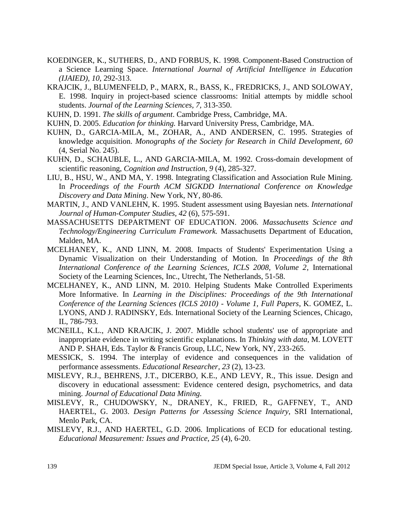- KOEDINGER, K., SUTHERS, D., AND FORBUS, K. 1998. Component-Based Construction of a Science Learning Space. *International Journal of Artificial Intelligence in Education (IJAIED), 10*, 292-313.
- KRAJCIK, J., BLUMENFELD, P., MARX, R., BASS, K., FREDRICKS, J., AND SOLOWAY, E. 1998. Inquiry in project-based science classrooms: Initial attempts by middle school students. *Journal of the Learning Sciences, 7,* 313-350.
- KUHN, D. 1991. *The skills of argument*. Cambridge Press, Cambridge, MA.
- KUHN, D. 2005. *Education for thinking.* Harvard University Press, Cambridge, MA.
- KUHN, D., GARCIA-MILA, M., ZOHAR, A., AND ANDERSEN, C. 1995. Strategies of knowledge acquisition. *Monographs of the Society for Research in Child Development, 60* (4, Serial No. 245).
- KUHN, D., SCHAUBLE, L., AND GARCIA-MILA, M. 1992. Cross-domain development of scientific reasoning, *Cognition and Instruction, 9* (4), 285-327.
- LIU, B., HSU, W., AND MA, Y. 1998. Integrating Classification and Association Rule Mining. In *Proceedings of the Fourth ACM SIGKDD International Conference on Knowledge Discovery and Data Mining*. New York, NY, 80-86.
- MARTIN, J., AND VANLEHN, K. 1995. Student assessment using Bayesian nets. *International Journal of Human-Computer Studies, 42* (6), 575-591.
- MASSACHUSETTS DEPARTMENT OF EDUCATION. 2006. *Massachusetts Science and Technology/Engineering Curriculum Framework.* Massachusetts Department of Education, Malden, MA.
- MCELHANEY, K., AND LINN, M. 2008. Impacts of Students' Experimentation Using a Dynamic Visualization on their Understanding of Motion. In *Proceedings of the 8th International Conference of the Learning Sciences, ICLS 2008, Volume 2*, International Society of the Learning Sciences, Inc., Utrecht, The Netherlands, 51-58.
- MCELHANEY, K., AND LINN, M. 2010. Helping Students Make Controlled Experiments More Informative. In *Learning in the Disciplines: Proceedings of the 9th International Conference of the Learning Sciences (ICLS 2010) - Volume 1, Full Papers*, K. GOMEZ, L. LYONS, AND J. RADINSKY, Eds. International Society of the Learning Sciences, Chicago, IL, 786-793.
- MCNEILL, K.L., AND KRAJCIK, J. 2007. Middle school students' use of appropriate and inappropriate evidence in writing scientific explanations. In *Thinking with data*, M. LOVETT AND P. SHAH, Eds. Taylor & Francis Group, LLC, New York, NY, 233-265.
- MESSICK, S. 1994. The interplay of evidence and consequences in the validation of performance assessments. *Educational Researcher, 23* (2), 13-23.
- MISLEVY, R.J., BEHRENS, J.T., DICERBO, K.E., AND LEVY, R., This issue. Design and discovery in educational assessment: Evidence centered design, psychometrics, and data mining. *Journal of Educational Data Mining.*
- MISLEVY, R., CHUDOWSKY, N., DRANEY, K., FRIED, R., GAFFNEY, T., AND HAERTEL, G. 2003. *Design Patterns for Assessing Science Inquiry*, SRI International, Menlo Park, CA.
- MISLEVY, R.J., AND HAERTEL, G.D. 2006. Implications of ECD for educational testing. *Educational Measurement: Issues and Practice, 25* (4), 6-20.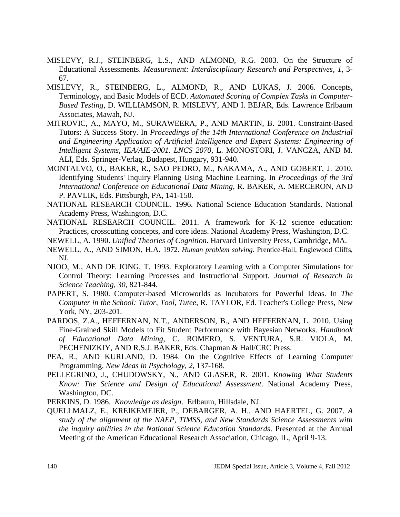- MISLEVY, R.J., STEINBERG, L.S., AND ALMOND, R.G. 2003. On the Structure of Educational Assessments. *Measurement: Interdisciplinary Research and Perspectives, 1*, 3- 67.
- MISLEVY, R., STEINBERG, L., ALMOND, R., AND LUKAS, J. 2006. Concepts, Terminology, and Basic Models of ECD. *Automated Scoring of Complex Tasks in Computer-Based Testing*, D. WILLIAMSON, R. MISLEVY, AND I. BEJAR, Eds. Lawrence Erlbaum Associates, Mawah, NJ.
- MITROVIC, A., MAYO, M., SURAWEERA, P., AND MARTIN, B. 2001. Constraint-Based Tutors: A Success Story. In *Proceedings of the 14th International Conference on Industrial and Engineering Application of Artificial Intelligence and Expert Systems: Engineering of Intelligent Systems, IEA/AIE-2001. LNCS 2070*, L. MONOSTORI, J. VANCZA, AND M. ALI, Eds. Springer-Verlag, Budapest, Hungary, 931-940.
- MONTALVO, O., BAKER, R., SAO PEDRO, M., NAKAMA, A., AND GOBERT, J. 2010. Identifying Students' Inquiry Planning Using Machine Learning. In *Proceedings of the 3rd International Conference on Educational Data Mining*, R. BAKER, A. MERCERON, AND P. PAVLIK, Eds. Pittsburgh, PA, 141-150.
- NATIONAL RESEARCH COUNCIL. 1996. National Science Education Standards. National Academy Press, Washington, D.C.
- NATIONAL RESEARCH COUNCIL. 2011. A framework for K-12 science education: Practices, crosscutting concepts, and core ideas. National Academy Press, Washington, D.C.
- NEWELL, A. 1990. *Unified Theories of Cognition*. Harvard University Press, Cambridge, MA.
- NEWELL, A., AND SIMON, H.A. 1972. *Human problem solving*. Prentice-Hall, Englewood Cliffs, NJ.
- NJOO, M., AND DE JONG, T. 1993. Exploratory Learning with a Computer Simulations for Control Theory: Learning Processes and Instructional Support. *Journal of Research in Science Teaching, 30*, 821-844.
- PAPERT, S. 1980. Computer-based Microworlds as Incubators for Powerful Ideas. In *The Computer in the School: Tutor, Tool, Tutee*, R. TAYLOR, Ed. Teacher's College Press, New York, NY, 203-201.
- PARDOS, Z.A., HEFFERNAN, N.T., ANDERSON, B., AND HEFFERNAN, L. 2010. Using Fine-Grained Skill Models to Fit Student Performance with Bayesian Networks. *Handbook of Educational Data Mining*, C. ROMERO, S. VENTURA, S.R. VIOLA, M. PECHENIZKIY, AND R.S.J. BAKER, Eds. Chapman & Hall/CRC Press.
- PEA, R., AND KURLAND, D. 1984. On the Cognitive Effects of Learning Computer Programming. *New Ideas in Psychology, 2*, 137-168.
- PELLEGRINO, J., CHUDOWSKY, N., AND GLASER, R. 2001. *Knowing What Students Know: The Science and Design of Educational Assessment*. National Academy Press, Washington, DC.
- PERKINS, D. 1986. *Knowledge as design*. Erlbaum, Hillsdale, NJ.
- QUELLMALZ, E., KREIKEMEIER, P., DEBARGER, A. H., AND HAERTEL, G. 2007. *A study of the alignment of the NAEP, TIMSS, and New Standards Science Assessments with the inquiry abilities in the National Science Education Standards*. Presented at the Annual Meeting of the American Educational Research Association, Chicago, IL, April 9-13.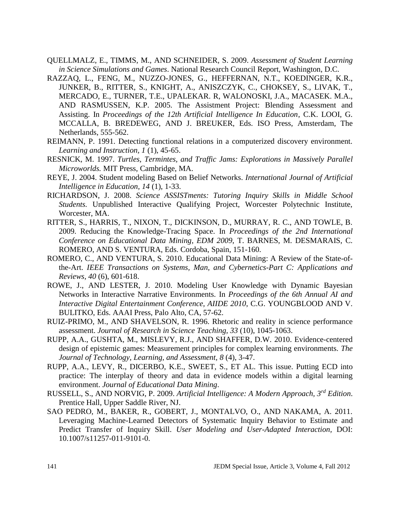- QUELLMALZ, E., TIMMS, M., AND SCHNEIDER, S. 2009. *Assessment of Student Learning in Science Simulations and Games*. National Research Council Report, Washington, D.C.
- RAZZAQ, L., FENG, M., NUZZO-JONES, G., HEFFERNAN, N.T., KOEDINGER, K.R., JUNKER, B., RITTER, S., KNIGHT, A., ANISZCZYK, C., CHOKSEY, S., LIVAK, T., MERCADO, E., TURNER, T.E., UPALEKAR. R, WALONOSKI, J.A., MACASEK. M.A., AND RASMUSSEN, K.P. 2005. The Assistment Project: Blending Assessment and Assisting. In *Proceedings of the 12th Artificial Intelligence In Education*, C.K. LOOI, G. MCCALLA, B. BREDEWEG, AND J. BREUKER, Eds. ISO Press, Amsterdam, The Netherlands, 555-562.
- REIMANN, P. 1991. Detecting functional relations in a computerized discovery environment. *Learning and Instruction, 1* (1), 45-65.
- RESNICK, M. 1997. *Turtles, Termintes, and Traffic Jams: Explorations in Massively Parallel Microworlds.* MIT Press, Cambridge, MA.
- REYE, J. 2004. Student modeling Based on Belief Networks. *International Journal of Artificial Intelligence in Education, 14* (1), 1-33.
- RICHARDSON, J. 2008. *Science ASSISTments: Tutoring Inquiry Skills in Middle School Students.* Unpublished Interactive Qualifying Project, Worcester Polytechnic Institute, Worcester, MA.
- RITTER, S., HARRIS, T., NIXON, T., DICKINSON, D., MURRAY, R. C., AND TOWLE, B. 2009. Reducing the Knowledge-Tracing Space. In *Proceedings of the 2nd International Conference on Educational Data Mining, EDM 2009*, T. BARNES, M. DESMARAIS, C. ROMERO, AND S. VENTURA, Eds. Cordoba, Spain, 151-160.
- ROMERO, C., AND VENTURA, S. 2010. Educational Data Mining: A Review of the State-ofthe-Art. *IEEE Transactions on Systems, Man, and Cybernetics-Part C: Applications and Reviews, 40* (6), 601-618.
- ROWE, J., AND LESTER, J. 2010. Modeling User Knowledge with Dynamic Bayesian Networks in Interactive Narrative Environments. In *Proceedings of the 6th Annual AI and Interactive Digital Entertainment Conference, AIIDE 2010*, C.G. YOUNGBLOOD AND V. BULITKO, Eds. AAAI Press, Palo Alto, CA, 57-62.
- RUIZ-PRIMO, M., AND SHAVELSON, R. 1996. Rhetoric and reality in science performance assessment. *Journal of Research in Science Teaching, 33* (10), 1045-1063.
- RUPP, A.A., GUSHTA, M., MISLEVY, R.J., AND SHAFFER, D.W. 2010. Evidence-centered design of epistemic games: Measurement principles for complex learning environments. *The Journal of Technology, Learning, and Assessment, 8* (4), 3-47.
- RUPP, A.A., LEVY, R., DICERBO, K.E., SWEET, S., ET AL. This issue. Putting ECD into practice: The interplay of theory and data in evidence models within a digital learning environment. *Journal of Educational Data Mining*.
- RUSSELL, S., AND NORVIG, P. 2009. *Artificial Intelligence: A Modern Approach, 3rd Edition*. Prentice Hall, Upper Saddle River, NJ.
- SAO PEDRO, M., BAKER, R., GOBERT, J., MONTALVO, O., AND NAKAMA, A. 2011. Leveraging Machine-Learned Detectors of Systematic Inquiry Behavior to Estimate and Predict Transfer of Inquiry Skill. *User Modeling and User-Adapted Interaction,* DOI: 10.1007/s11257-011-9101-0.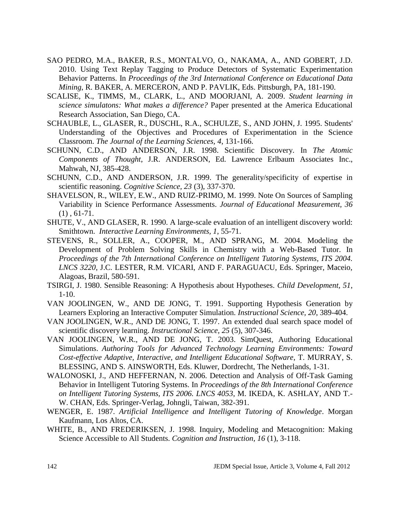- SAO PEDRO, M.A., BAKER, R.S., MONTALVO, O., NAKAMA, A., AND GOBERT, J.D. 2010. Using Text Replay Tagging to Produce Detectors of Systematic Experimentation Behavior Patterns. In *Proceedings of the 3rd International Conference on Educational Data Mining*, R. BAKER, A. MERCERON, AND P. PAVLIK, Eds. Pittsburgh, PA, 181-190.
- SCALISE, K., TIMMS, M., CLARK, L., AND MOORJANI, A. 2009. *Student learning in science simulatons: What makes a difference?* Paper presented at the America Educational Research Association, San Diego, CA.
- SCHAUBLE, L., GLASER, R., DUSCHL, R.A., SCHULZE, S., AND JOHN, J. 1995. Students' Understanding of the Objectives and Procedures of Experimentation in the Science Classroom. *The Journal of the Learning Sciences, 4*, 131-166.
- SCHUNN, C.D., AND ANDERSON, J.R. 1998. Scientific Discovery. In *The Atomic Components of Thought*, J.R. ANDERSON, Ed. Lawrence Erlbaum Associates Inc., Mahwah, NJ, 385-428.
- SCHUNN, C.D., AND ANDERSON, J.R. 1999. The generality/specificity of expertise in scientific reasoning. *Cognitive Science, 23* (3), 337-370.
- SHAVELSON, R., WILEY, E.W., AND RUIZ-PRIMO, M. 1999. Note On Sources of Sampling Variability in Science Performance Assessments. *Journal of Educational Measurement, 36*  $(1), 61-71.$
- SHUTE, V., AND GLASER, R. 1990. A large-scale evaluation of an intelligent discovery world: Smithtown. *Interactive Learning Environments, 1*, 55-71.
- STEVENS, R., SOLLER, A., COOPER, M., AND SPRANG, M. 2004. Modeling the Development of Problem Solving Skills in Chemistry with a Web-Based Tutor. In *Proceedings of the 7th International Conference on Intelligent Tutoring Systems, ITS 2004. LNCS 3220*, J.C. LESTER, R.M. VICARI, AND F. PARAGUACU, Eds. Springer, Maceio, Alagoas, Brazil, 580-591.
- TSIRGI, J. 1980. Sensible Reasoning: A Hypothesis about Hypotheses. *Child Development, 51*, 1-10.
- VAN JOOLINGEN, W., AND DE JONG, T. 1991. Supporting Hypothesis Generation by Learners Exploring an Interactive Computer Simulation. *Instructional Science, 20*, 389-404.
- VAN JOOLINGEN, W.R., AND DE JONG, T. 1997. An extended dual search space model of scientific discovery learning. *Instructional Science, 25* (5), 307-346.
- VAN JOOLINGEN, W.R., AND DE JONG, T. 2003. SimQuest, Authoring Educational Simulations. *Authoring Tools for Advanced Technology Learning Environments: Toward Cost-effective Adaptive, Interactive, and Intelligent Educational Software*, T. MURRAY, S. BLESSING, AND S. AINSWORTH, Eds. Kluwer, Dordrecht, The Netherlands, 1-31.
- WALONOSKI, J., AND HEFFERNAN, N. 2006. Detection and Analysis of Off-Task Gaming Behavior in Intelligent Tutoring Systems. In *Proceedings of the 8th International Conference on Intelligent Tutoring Systems, ITS 2006. LNCS 4053*, M. IKEDA, K. ASHLAY, AND T.- W. CHAN, Eds. Springer-Verlag, Johngli, Taiwan, 382-391.
- WENGER, E. 1987. *Artificial Intelligence and Intelligent Tutoring of Knowledge*. Morgan Kaufmann, Los Altos, CA.
- WHITE, B., AND FREDERIKSEN, J. 1998. Inquiry, Modeling and Metacognition: Making Science Accessible to All Students. *Cognition and Instruction, 16* (1), 3-118.